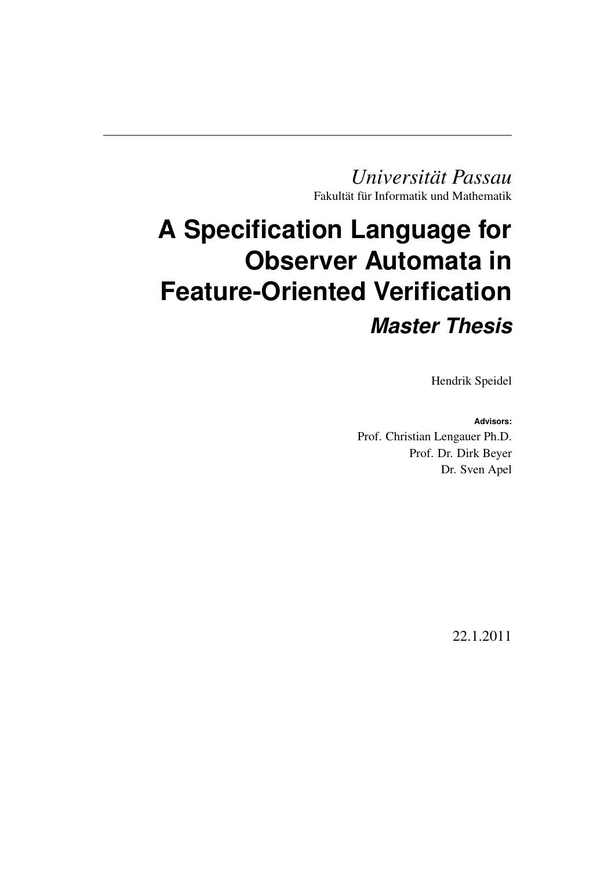*Universität Passau* Fakultät für Informatik und Mathematik

# **A Specification Language for Observer Automata in Feature-Oriented Verification** *Master Thesis*

Hendrik Speidel

**Advisors:** Prof. Christian Lengauer Ph.D. Prof. Dr. Dirk Beyer Dr. Sven Apel

22.1.2011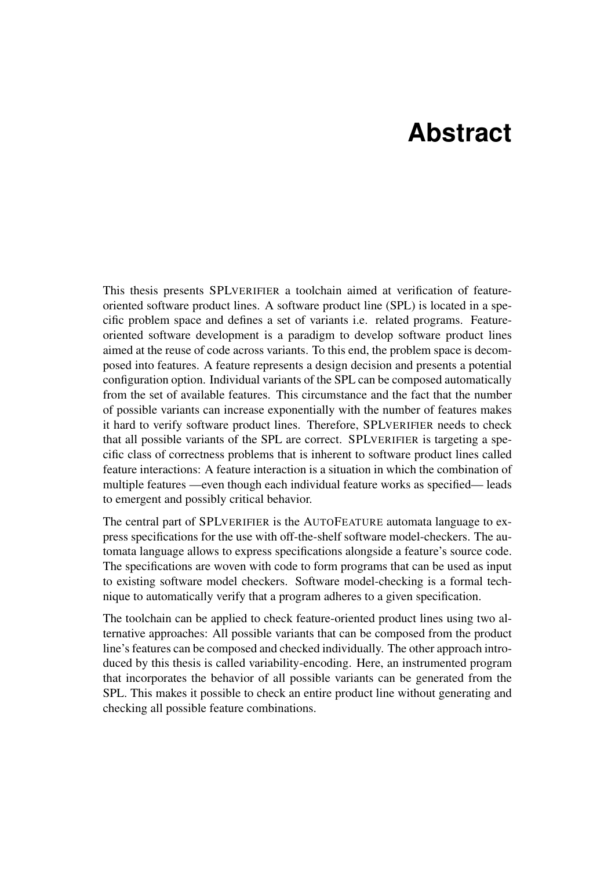# **Abstract**

This thesis presents SPLVERIFIER a toolchain aimed at verification of featureoriented software product lines. A software product line (SPL) is located in a specific problem space and defines a set of variants i.e. related programs. Featureoriented software development is a paradigm to develop software product lines aimed at the reuse of code across variants. To this end, the problem space is decomposed into features. A feature represents a design decision and presents a potential configuration option. Individual variants of the SPL can be composed automatically from the set of available features. This circumstance and the fact that the number of possible variants can increase exponentially with the number of features makes it hard to verify software product lines. Therefore, SPLVERIFIER needs to check that all possible variants of the SPL are correct. SPLVERIFIER is targeting a specific class of correctness problems that is inherent to software product lines called feature interactions: A feature interaction is a situation in which the combination of multiple features —even though each individual feature works as specified— leads to emergent and possibly critical behavior.

The central part of SPLVERIFIER is the AUTOFEATURE automata language to express specifications for the use with off-the-shelf software model-checkers. The automata language allows to express specifications alongside a feature's source code. The specifications are woven with code to form programs that can be used as input to existing software model checkers. Software model-checking is a formal technique to automatically verify that a program adheres to a given specification.

The toolchain can be applied to check feature-oriented product lines using two alternative approaches: All possible variants that can be composed from the product line's features can be composed and checked individually. The other approach introduced by this thesis is called variability-encoding. Here, an instrumented program that incorporates the behavior of all possible variants can be generated from the SPL. This makes it possible to check an entire product line without generating and checking all possible feature combinations.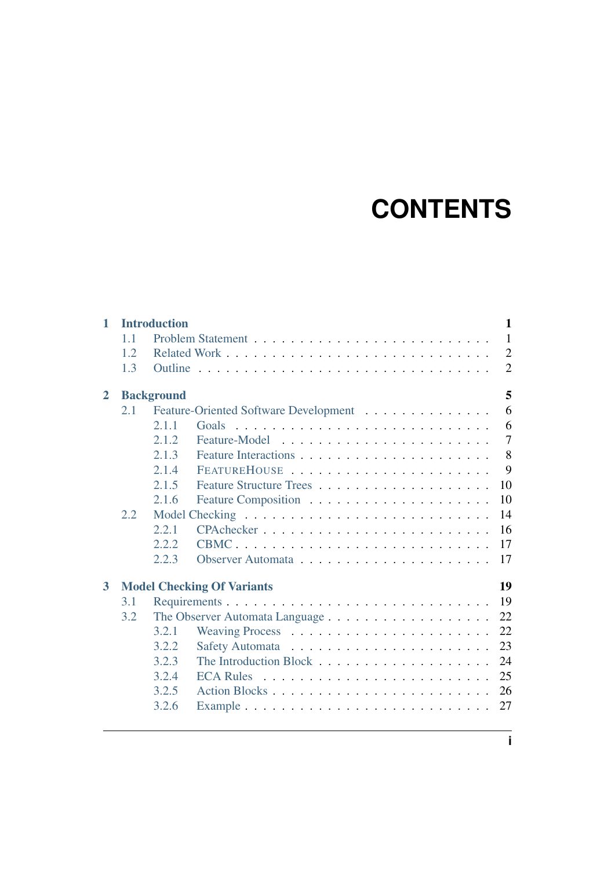# **CONTENTS**

| $\mathbf{1}$   |     | <b>Introduction</b> |                                       | 1              |
|----------------|-----|---------------------|---------------------------------------|----------------|
|                | 1.1 |                     |                                       | $\mathbf{1}$   |
|                | 1.2 |                     |                                       | $\overline{2}$ |
|                | 1.3 |                     |                                       | $\overline{2}$ |
| $\overline{2}$ |     | <b>Background</b>   |                                       | 5              |
|                | 2.1 |                     | Feature-Oriented Software Development | 6              |
|                |     | 2.1.1               |                                       | 6              |
|                |     | 2.1.2               |                                       | $\overline{7}$ |
|                |     | 2.1.3               |                                       | 8              |
|                |     | 2.1.4               |                                       | 9              |
|                |     | 2.1.5               |                                       | 10             |
|                |     | 2.1.6               |                                       | 10             |
|                | 2.2 |                     |                                       | 14             |
|                |     | 2.2.1               |                                       | 16             |
|                |     | 2.2.2               |                                       | 17             |
|                |     | 2.2.3               |                                       | 17             |
| 3              |     |                     | <b>Model Checking Of Variants</b>     | 19             |
|                | 3.1 |                     |                                       | 19             |
|                | 3.2 |                     |                                       | 22             |
|                |     | 3.2.1               |                                       | 22             |
|                |     | 3.2.2               |                                       | 23             |
|                |     | 3.2.3               |                                       | 24             |
|                |     | 3.2.4               |                                       | 25             |
|                |     | 3.2.5               |                                       | 26             |
|                |     | 3.2.6               |                                       | 27             |
|                |     |                     |                                       |                |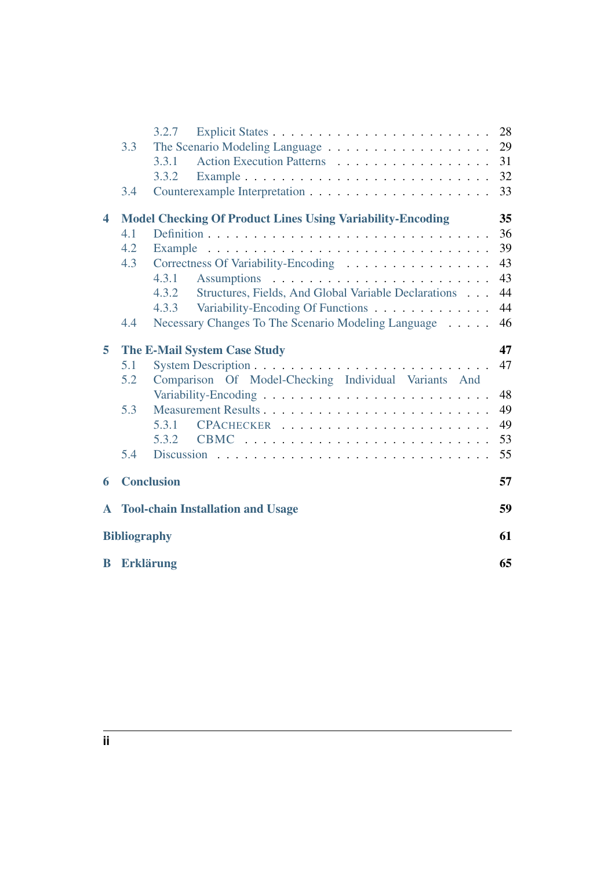|              |                           | 3.2.7                                                             | 28 |
|--------------|---------------------------|-------------------------------------------------------------------|----|
|              | 3.3                       |                                                                   | 29 |
|              |                           | Action Execution Patterns<br>3.3.1                                | 31 |
|              |                           | 3.3.2                                                             | 32 |
|              | 3.4                       |                                                                   | 33 |
| 4            |                           | <b>Model Checking Of Product Lines Using Variability-Encoding</b> | 35 |
|              | 4.1                       |                                                                   | 36 |
|              | 4.2                       |                                                                   | 39 |
|              | 4.3                       | Correctness Of Variability-Encoding                               | 43 |
|              |                           | 4.3.1                                                             | 43 |
|              |                           | Structures, Fields, And Global Variable Declarations<br>4.3.2     | 44 |
|              |                           | Variability-Encoding Of Functions<br>4.3.3                        | 44 |
|              | 4.4                       | Necessary Changes To The Scenario Modeling Language               | 46 |
| 5            |                           | <b>The E-Mail System Case Study</b>                               | 47 |
|              | 5.1                       |                                                                   | 47 |
|              | 5.2                       | Comparison Of Model-Checking Individual Variants And              |    |
|              |                           |                                                                   | 48 |
|              | 5.3                       |                                                                   | 49 |
|              |                           | 5.3.1                                                             | 49 |
|              |                           | 5.3.2                                                             | 53 |
|              | 5.4                       |                                                                   | 55 |
| 6            |                           | <b>Conclusion</b>                                                 | 57 |
| $\mathbf{A}$ |                           | <b>Tool-chain Installation and Usage</b>                          | 59 |
|              | 61<br><b>Bibliography</b> |                                                                   |    |
|              |                           |                                                                   |    |
| B            |                           | <b>Erklärung</b>                                                  | 65 |
|              |                           |                                                                   |    |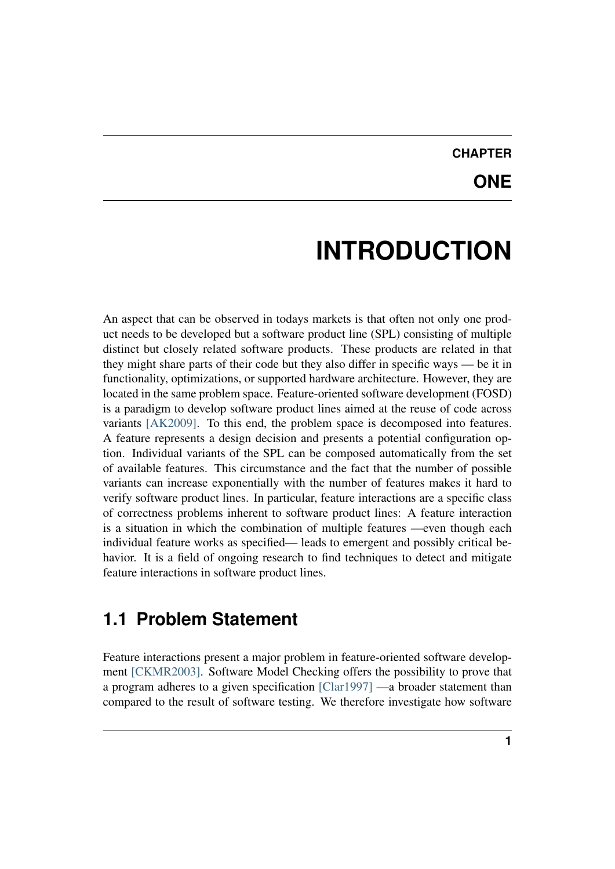# **CHAPTER**

## **ONE**

# **INTRODUCTION**

<span id="page-4-0"></span>An aspect that can be observed in todays markets is that often not only one product needs to be developed but a software product line (SPL) consisting of multiple distinct but closely related software products. These products are related in that they might share parts of their code but they also differ in specific ways — be it in functionality, optimizations, or supported hardware architecture. However, they are located in the same problem space. Feature-oriented software development (FOSD) is a paradigm to develop software product lines aimed at the reuse of code across variants [\[AK2009\].](#page-64-0) To this end, the problem space is decomposed into features. A feature represents a design decision and presents a potential configuration option. Individual variants of the SPL can be composed automatically from the set of available features. This circumstance and the fact that the number of possible variants can increase exponentially with the number of features makes it hard to verify software product lines. In particular, feature interactions are a specific class of correctness problems inherent to software product lines: A feature interaction is a situation in which the combination of multiple features —even though each individual feature works as specified— leads to emergent and possibly critical behavior. It is a field of ongoing research to find techniques to detect and mitigate feature interactions in software product lines.

## <span id="page-4-1"></span>**1.1 Problem Statement**

Feature interactions present a major problem in feature-oriented software development [\[CKMR2003\].](#page-64-1) Software Model Checking offers the possibility to prove that a program adheres to a given specification [\[Clar1997\]](#page-64-2) —a broader statement than compared to the result of software testing. We therefore investigate how software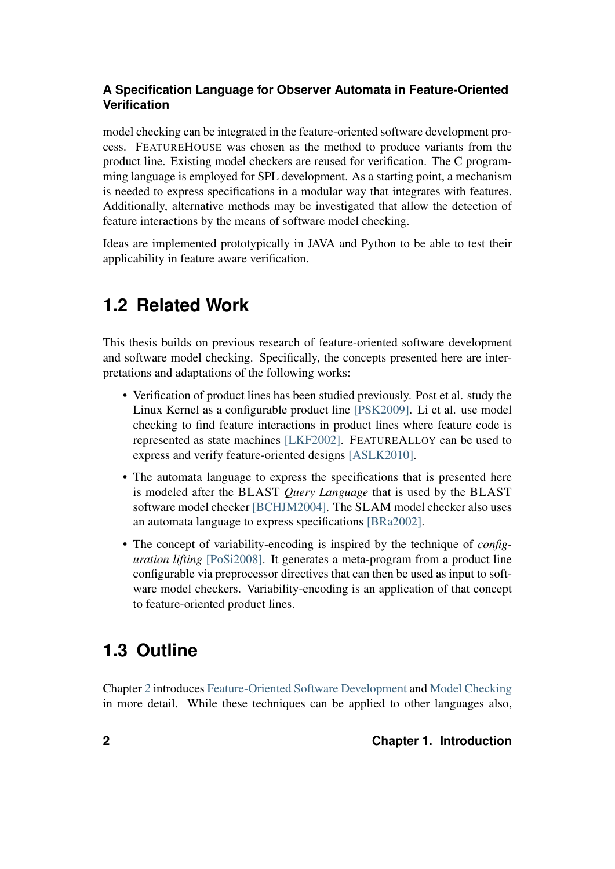model checking can be integrated in the feature-oriented software development process. FEATUREHOUSE was chosen as the method to produce variants from the product line. Existing model checkers are reused for verification. The C programming language is employed for SPL development. As a starting point, a mechanism is needed to express specifications in a modular way that integrates with features. Additionally, alternative methods may be investigated that allow the detection of feature interactions by the means of software model checking.

Ideas are implemented prototypically in JAVA and Python to be able to test their applicability in feature aware verification.

# <span id="page-5-0"></span>**1.2 Related Work**

This thesis builds on previous research of feature-oriented software development and software model checking. Specifically, the concepts presented here are interpretations and adaptations of the following works:

- Verification of product lines has been studied previously. Post et al. study the Linux Kernel as a configurable product line [\[PSK2009\].](#page-64-3) Li et al. use model checking to find feature interactions in product lines where feature code is represented as state machines [\[LKF2002\].](#page-64-4) FEATUREALLOY can be used to express and verify feature-oriented designs [\[ASLK2010\].](#page-64-5)
- The automata language to express the specifications that is presented here is modeled after the BLAST *Query Language* that is used by the BLAST software model checker [\[BCHJM2004\].](#page-64-6) The SLAM model checker also uses an automata language to express specifications [\[BRa2002\].](#page-65-0)
- The concept of variability-encoding is inspired by the technique of *configuration lifting* [\[PoSi2008\].](#page-65-1) It generates a meta-program from a product line configurable via preprocessor directives that can then be used as input to software model checkers. Variability-encoding is an application of that concept to feature-oriented product lines.

# <span id="page-5-1"></span>**1.3 Outline**

Chapter *[2](#page-8-0)* introduces [Feature-Oriented Software Development](#page-9-0) and [Model Checking](#page-17-0) in more detail. While these techniques can be applied to other languages also,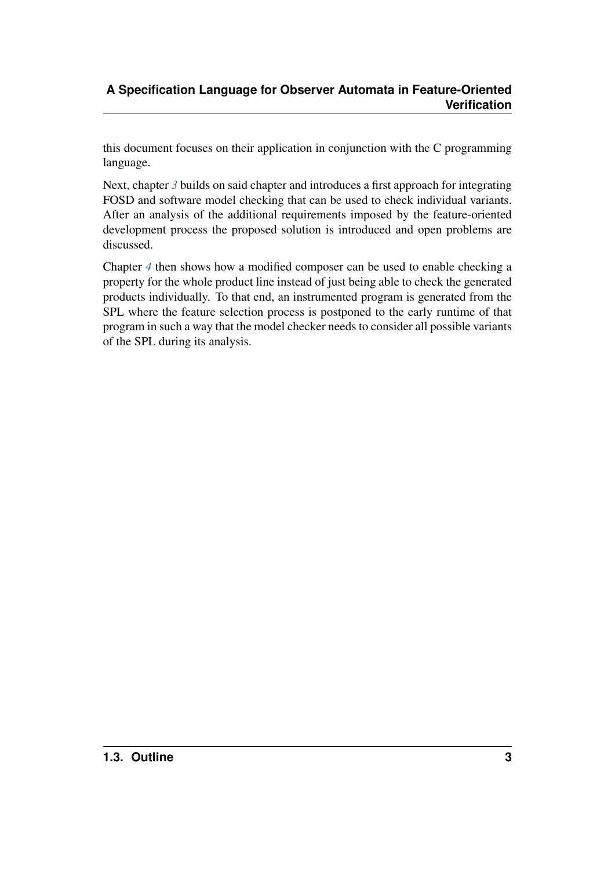this document focuses on their application in conjunction with the C programming language.

Next, chapter [3](#page-22-0) builds on said chapter and introduces a first approach for integrating FOSD and software model checking that can be used to check individual variants. After an analysis of the additional requirements imposed by the feature-oriented development process the proposed solution is introduced and open problems are discussed.

Chapter *[4](#page-38-0)* then shows how a modified composer can be used to enable checking a property for the whole product line instead of just being able to check the generated products individually. To that end, an instrumented program is generated from the SPL where the feature selection process is postponed to the early runtime of that program in such a way that the model checker needs to consider all possible variants of the SPL during its analysis.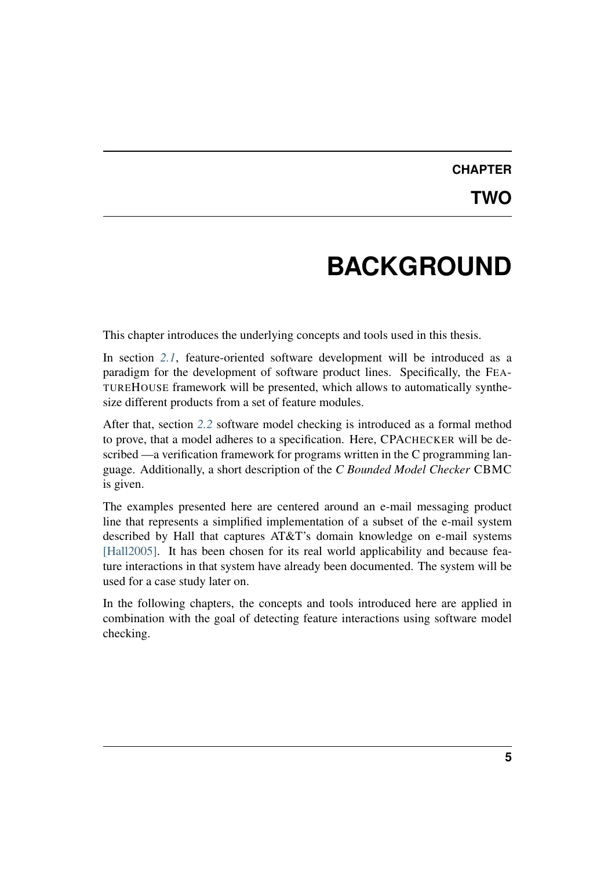## **CHAPTER TWO**

# **BACKGROUND**

<span id="page-8-0"></span>This chapter introduces the underlying concepts and tools used in this thesis.

In section *[2.1](#page-9-0)*, feature-oriented software development will be introduced as a paradigm for the development of software product lines. Specifically, the FEA-TUREHOUSE framework will be presented, which allows to automatically synthesize different products from a set of feature modules.

After that, section *[2.2](#page-17-0)* software model checking is introduced as a formal method to prove, that a model adheres to a specification. Here, CPACHECKER will be described —a verification framework for programs written in the C programming language. Additionally, a short description of the *C Bounded Model Checker* CBMC is given.

The examples presented here are centered around an e-mail messaging product line that represents a simplified implementation of a subset of the e-mail system described by Hall that captures AT&T's domain knowledge on e-mail systems [\[Hall2005\].](#page-65-2) It has been chosen for its real world applicability and because feature interactions in that system have already been documented. The system will be used for a case study later on.

In the following chapters, the concepts and tools introduced here are applied in combination with the goal of detecting feature interactions using software model checking.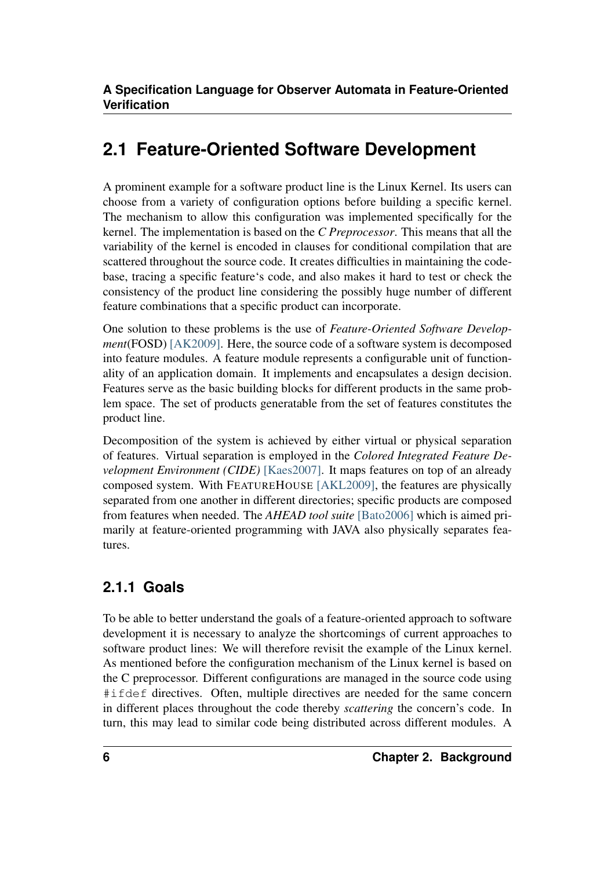## <span id="page-9-0"></span>**2.1 Feature-Oriented Software Development**

A prominent example for a software product line is the Linux Kernel. Its users can choose from a variety of configuration options before building a specific kernel. The mechanism to allow this configuration was implemented specifically for the kernel. The implementation is based on the *C Preprocessor*. This means that all the variability of the kernel is encoded in clauses for conditional compilation that are scattered throughout the source code. It creates difficulties in maintaining the codebase, tracing a specific feature's code, and also makes it hard to test or check the consistency of the product line considering the possibly huge number of different feature combinations that a specific product can incorporate.

One solution to these problems is the use of *Feature-Oriented Software Development*(FOSD) [\[AK2009\].](#page-64-0) Here, the source code of a software system is decomposed into feature modules. A feature module represents a configurable unit of functionality of an application domain. It implements and encapsulates a design decision. Features serve as the basic building blocks for different products in the same problem space. The set of products generatable from the set of features constitutes the product line.

Decomposition of the system is achieved by either virtual or physical separation of features. Virtual separation is employed in the *Colored Integrated Feature Development Environment (CIDE)* [\[Kaes2007\].](#page-65-3) It maps features on top of an already composed system. With FEATUREHOUSE [\[AKL2009\],](#page-65-4) the features are physically separated from one another in different directories; specific products are composed from features when needed. The *AHEAD tool suite* [\[Bato2006\]](#page-65-5) which is aimed primarily at feature-oriented programming with JAVA also physically separates features.

### <span id="page-9-1"></span>**2.1.1 Goals**

To be able to better understand the goals of a feature-oriented approach to software development it is necessary to analyze the shortcomings of current approaches to software product lines: We will therefore revisit the example of the Linux kernel. As mentioned before the configuration mechanism of the Linux kernel is based on the C preprocessor. Different configurations are managed in the source code using #ifdef directives. Often, multiple directives are needed for the same concern in different places throughout the code thereby *scattering* the concern's code. In turn, this may lead to similar code being distributed across different modules. A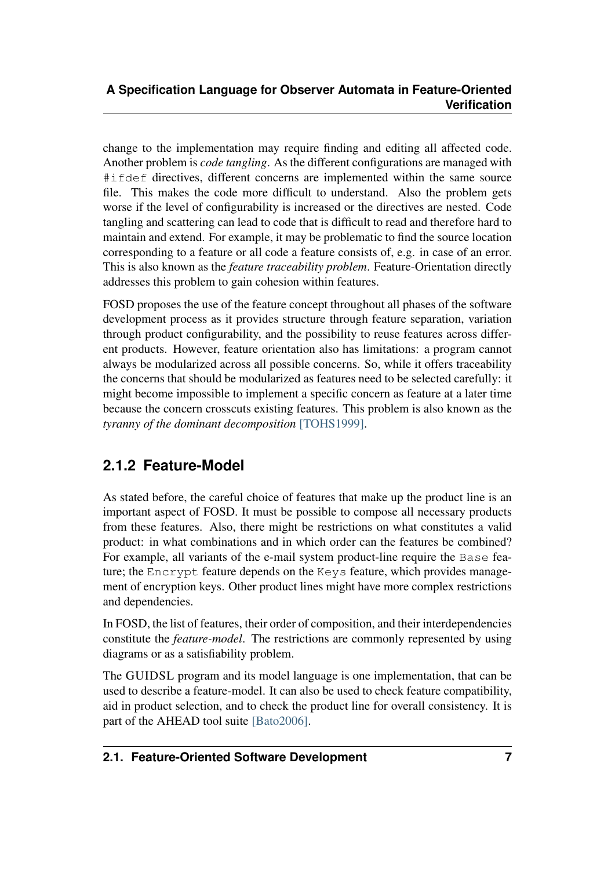change to the implementation may require finding and editing all affected code. Another problem is *code tangling*. As the different configurations are managed with #ifdef directives, different concerns are implemented within the same source file. This makes the code more difficult to understand. Also the problem gets worse if the level of configurability is increased or the directives are nested. Code tangling and scattering can lead to code that is difficult to read and therefore hard to maintain and extend. For example, it may be problematic to find the source location corresponding to a feature or all code a feature consists of, e.g. in case of an error. This is also known as the *feature traceability problem*. Feature-Orientation directly addresses this problem to gain cohesion within features.

FOSD proposes the use of the feature concept throughout all phases of the software development process as it provides structure through feature separation, variation through product configurability, and the possibility to reuse features across different products. However, feature orientation also has limitations: a program cannot always be modularized across all possible concerns. So, while it offers traceability the concerns that should be modularized as features need to be selected carefully: it might become impossible to implement a specific concern as feature at a later time because the concern crosscuts existing features. This problem is also known as the *tyranny of the dominant decomposition* [\[TOHS1999\].](#page-65-6)

### <span id="page-10-0"></span>**2.1.2 Feature-Model**

As stated before, the careful choice of features that make up the product line is an important aspect of FOSD. It must be possible to compose all necessary products from these features. Also, there might be restrictions on what constitutes a valid product: in what combinations and in which order can the features be combined? For example, all variants of the e-mail system product-line require the Base feature; the Encrypt feature depends on the Keys feature, which provides management of encryption keys. Other product lines might have more complex restrictions and dependencies.

<span id="page-10-1"></span>In FOSD, the list of features, their order of composition, and their interdependencies constitute the *feature-model*. The restrictions are commonly represented by using diagrams or as a satisfiability problem.

The GUIDSL program and its model language is one implementation, that can be used to describe a feature-model. It can also be used to check feature compatibility, aid in product selection, and to check the product line for overall consistency. It is part of the AHEAD tool suite [\[Bato2006\].](#page-65-5)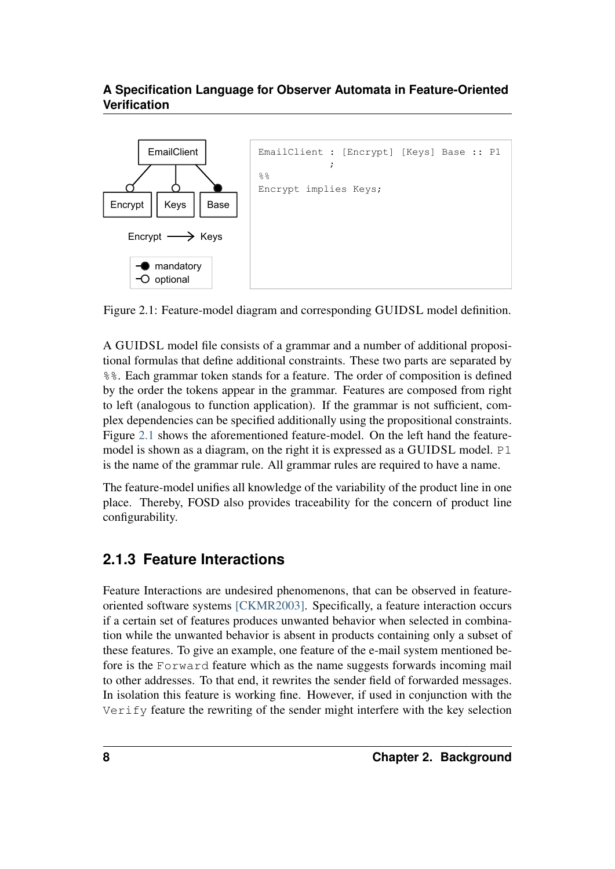

Figure 2.1: Feature-model diagram and corresponding GUIDSL model definition.

A GUIDSL model file consists of a grammar and a number of additional propositional formulas that define additional constraints. These two parts are separated by %%. Each grammar token stands for a feature. The order of composition is defined by the order the tokens appear in the grammar. Features are composed from right to left (analogous to function application). If the grammar is not sufficient, complex dependencies can be specified additionally using the propositional constraints. Figure [2.1](#page-10-1) shows the aforementioned feature-model. On the left hand the featuremodel is shown as a diagram, on the right it is expressed as a GUIDSL model. P1 is the name of the grammar rule. All grammar rules are required to have a name.

The feature-model unifies all knowledge of the variability of the product line in one place. Thereby, FOSD also provides traceability for the concern of product line configurability.

### <span id="page-11-0"></span>**2.1.3 Feature Interactions**

Feature Interactions are undesired phenomenons, that can be observed in featureoriented software systems [\[CKMR2003\].](#page-64-1) Specifically, a feature interaction occurs if a certain set of features produces unwanted behavior when selected in combination while the unwanted behavior is absent in products containing only a subset of these features. To give an example, one feature of the e-mail system mentioned before is the Forward feature which as the name suggests forwards incoming mail to other addresses. To that end, it rewrites the sender field of forwarded messages. In isolation this feature is working fine. However, if used in conjunction with the Verify feature the rewriting of the sender might interfere with the key selection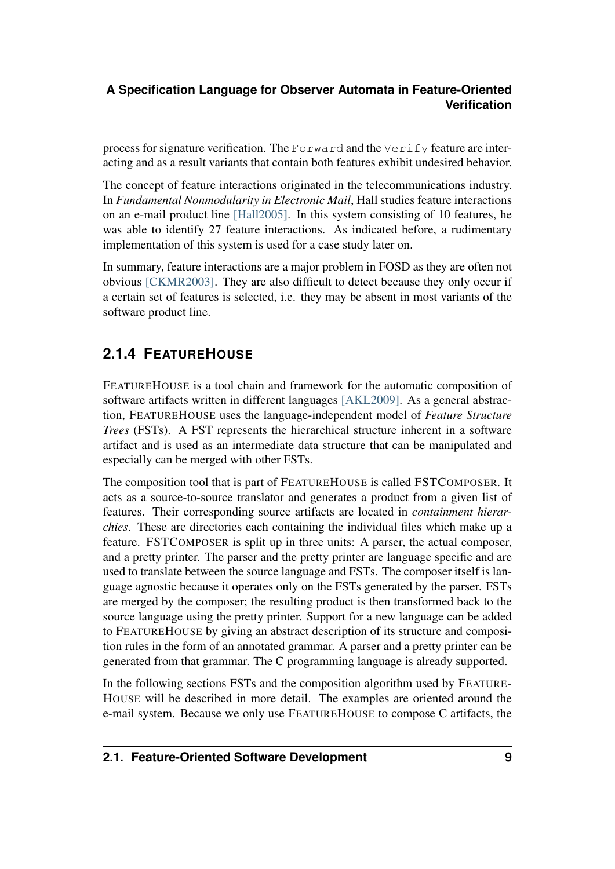process for signature verification. The Forward and the Verify feature are interacting and as a result variants that contain both features exhibit undesired behavior.

The concept of feature interactions originated in the telecommunications industry. In *Fundamental Nonmodularity in Electronic Mail*, Hall studies feature interactions on an e-mail product line [\[Hall2005\].](#page-65-2) In this system consisting of 10 features, he was able to identify 27 feature interactions. As indicated before, a rudimentary implementation of this system is used for a case study later on.

In summary, feature interactions are a major problem in FOSD as they are often not obvious [\[CKMR2003\].](#page-64-1) They are also difficult to detect because they only occur if a certain set of features is selected, i.e. they may be absent in most variants of the software product line.

### <span id="page-12-0"></span>**2.1.4 FEATUREHOUSE**

FEATUREHOUSE is a tool chain and framework for the automatic composition of software artifacts written in different languages [\[AKL2009\].](#page-65-4) As a general abstraction, FEATUREHOUSE uses the language-independent model of *Feature Structure Trees* (FSTs). A FST represents the hierarchical structure inherent in a software artifact and is used as an intermediate data structure that can be manipulated and especially can be merged with other FSTs.

The composition tool that is part of FEATUREHOUSE is called FSTCOMPOSER. It acts as a source-to-source translator and generates a product from a given list of features. Their corresponding source artifacts are located in *containment hierarchies*. These are directories each containing the individual files which make up a feature. FSTCOMPOSER is split up in three units: A parser, the actual composer, and a pretty printer. The parser and the pretty printer are language specific and are used to translate between the source language and FSTs. The composer itself is language agnostic because it operates only on the FSTs generated by the parser. FSTs are merged by the composer; the resulting product is then transformed back to the source language using the pretty printer. Support for a new language can be added to FEATUREHOUSE by giving an abstract description of its structure and composition rules in the form of an annotated grammar. A parser and a pretty printer can be generated from that grammar. The C programming language is already supported.

In the following sections FSTs and the composition algorithm used by FEATURE-HOUSE will be described in more detail. The examples are oriented around the e-mail system. Because we only use FEATUREHOUSE to compose C artifacts, the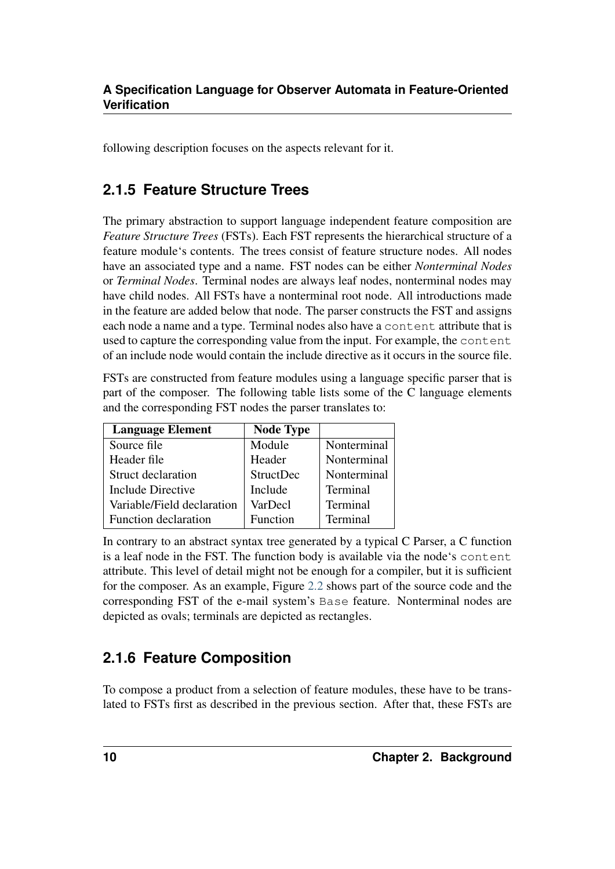following description focuses on the aspects relevant for it.

### <span id="page-13-0"></span>**2.1.5 Feature Structure Trees**

The primary abstraction to support language independent feature composition are *Feature Structure Trees* (FSTs). Each FST represents the hierarchical structure of a feature module's contents. The trees consist of feature structure nodes. All nodes have an associated type and a name. FST nodes can be either *Nonterminal Nodes* or *Terminal Nodes*. Terminal nodes are always leaf nodes, nonterminal nodes may have child nodes. All FSTs have a nonterminal root node. All introductions made in the feature are added below that node. The parser constructs the FST and assigns each node a name and a type. Terminal nodes also have a content attribute that is used to capture the corresponding value from the input. For example, the content of an include node would contain the include directive as it occurs in the source file.

FSTs are constructed from feature modules using a language specific parser that is part of the composer. The following table lists some of the C language elements and the corresponding FST nodes the parser translates to:

| <b>Language Element</b>    | <b>Node Type</b> |             |
|----------------------------|------------------|-------------|
| Source file                | Module           | Nonterminal |
| Header file                | Header           | Nonterminal |
| <b>Struct declaration</b>  | StructDec        | Nonterminal |
| Include Directive          | Include          | Terminal    |
| Variable/Field declaration | VarDecl          | Terminal    |
| Function declaration       | Function         | Terminal    |

In contrary to an abstract syntax tree generated by a typical C Parser, a C function is a leaf node in the FST. The function body is available via the node's content attribute. This level of detail might not be enough for a compiler, but it is sufficient for the composer. As an example, Figure [2.2](#page-13-2) shows part of the source code and the corresponding FST of the e-mail system's Base feature. Nonterminal nodes are depicted as ovals; terminals are depicted as rectangles.

### <span id="page-13-2"></span><span id="page-13-1"></span>**2.1.6 Feature Composition**

To compose a product from a selection of feature modules, these have to be translated to FSTs first as described in the previous section. After that, these FSTs are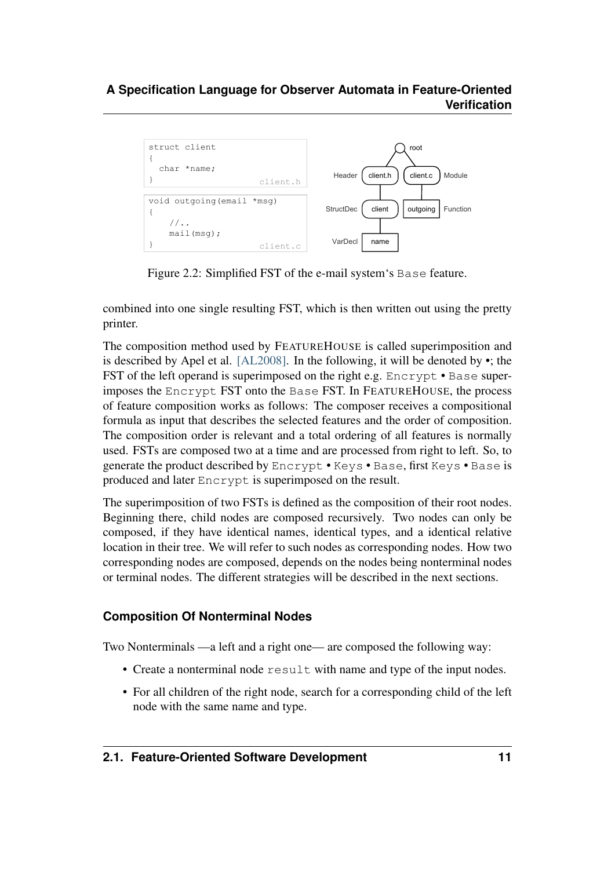

Figure 2.2: Simplified FST of the e-mail system's Base feature.

combined into one single resulting FST, which is then written out using the pretty printer.

The composition method used by FEATUREHOUSE is called superimposition and is described by Apel et al. [\[AL2008\].](#page-65-7) In the following, it will be denoted by •; the FST of the left operand is superimposed on the right e.g. Encrypt • Base superimposes the Encrypt FST onto the Base FST. In FEATUREHOUSE, the process of feature composition works as follows: The composer receives a compositional formula as input that describes the selected features and the order of composition. The composition order is relevant and a total ordering of all features is normally used. FSTs are composed two at a time and are processed from right to left. So, to generate the product described by Encrypt • Keys • Base, first Keys • Base is produced and later Encrypt is superimposed on the result.

The superimposition of two FSTs is defined as the composition of their root nodes. Beginning there, child nodes are composed recursively. Two nodes can only be composed, if they have identical names, identical types, and a identical relative location in their tree. We will refer to such nodes as corresponding nodes. How two corresponding nodes are composed, depends on the nodes being nonterminal nodes or terminal nodes. The different strategies will be described in the next sections.

#### **Composition Of Nonterminal Nodes**

Two Nonterminals —a left and a right one— are composed the following way:

- Create a nonterminal node result with name and type of the input nodes.
- For all children of the right node, search for a corresponding child of the left node with the same name and type.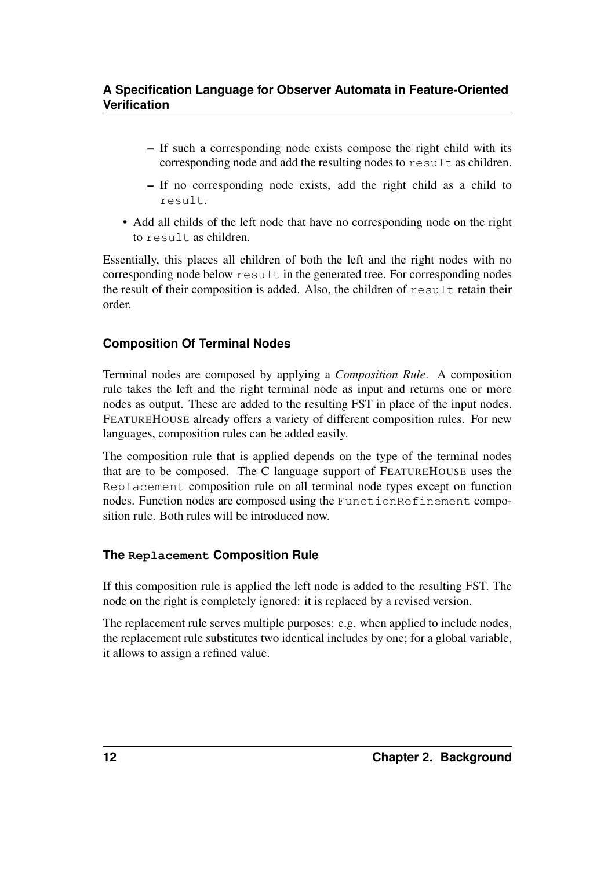- If such a corresponding node exists compose the right child with its corresponding node and add the resulting nodes to result as children.
- If no corresponding node exists, add the right child as a child to result.
- Add all childs of the left node that have no corresponding node on the right to result as children.

Essentially, this places all children of both the left and the right nodes with no corresponding node below result in the generated tree. For corresponding nodes the result of their composition is added. Also, the children of result retain their order.

#### **Composition Of Terminal Nodes**

Terminal nodes are composed by applying a *Composition Rule*. A composition rule takes the left and the right terminal node as input and returns one or more nodes as output. These are added to the resulting FST in place of the input nodes. FEATUREHOUSE already offers a variety of different composition rules. For new languages, composition rules can be added easily.

The composition rule that is applied depends on the type of the terminal nodes that are to be composed. The C language support of FEATUREHOUSE uses the Replacement composition rule on all terminal node types except on function nodes. Function nodes are composed using the FunctionRefinement composition rule. Both rules will be introduced now.

#### **The Replacement Composition Rule**

If this composition rule is applied the left node is added to the resulting FST. The node on the right is completely ignored: it is replaced by a revised version.

The replacement rule serves multiple purposes: e.g. when applied to include nodes, the replacement rule substitutes two identical includes by one; for a global variable, it allows to assign a refined value.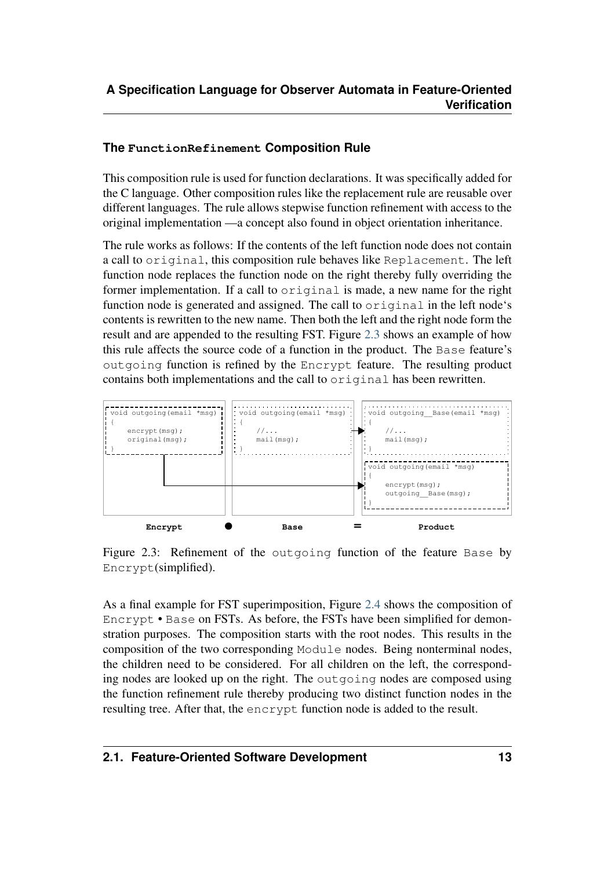#### **The FunctionRefinement Composition Rule**

This composition rule is used for function declarations. It was specifically added for the C language. Other composition rules like the replacement rule are reusable over different languages. The rule allows stepwise function refinement with access to the original implementation —a concept also found in object orientation inheritance.

The rule works as follows: If the contents of the left function node does not contain a call to original, this composition rule behaves like Replacement. The left function node replaces the function node on the right thereby fully overriding the former implementation. If a call to original is made, a new name for the right function node is generated and assigned. The call to original in the left node's contents is rewritten to the new name. Then both the left and the right node form the result and are appended to the resulting FST. Figure [2.3](#page-16-0) shows an example of how this rule affects the source code of a function in the product. The Base feature's outgoing function is refined by the Encrypt feature. The resulting product contains both implementations and the call to original has been rewritten.

<span id="page-16-0"></span>

Figure 2.3: Refinement of the outgoing function of the feature Base by Encrypt(simplified).

<span id="page-16-1"></span>As a final example for FST superimposition, Figure [2.4](#page-16-1) shows the composition of Encrypt • Base on FSTs. As before, the FSTs have been simplified for demonstration purposes. The composition starts with the root nodes. This results in the composition of the two corresponding Module nodes. Being nonterminal nodes, the children need to be considered. For all children on the left, the corresponding nodes are looked up on the right. The outgoing nodes are composed using the function refinement rule thereby producing two distinct function nodes in the resulting tree. After that, the encrypt function node is added to the result.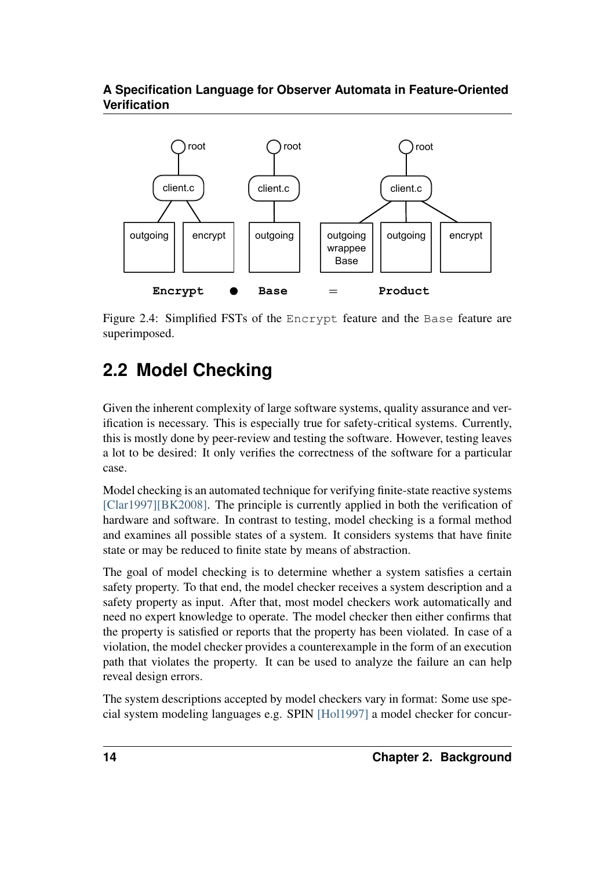

Figure 2.4: Simplified FSTs of the Encrypt feature and the Base feature are superimposed.

# <span id="page-17-0"></span>**2.2 Model Checking**

Given the inherent complexity of large software systems, quality assurance and verification is necessary. This is especially true for safety-critical systems. Currently, this is mostly done by peer-review and testing the software. However, testing leaves a lot to be desired: It only verifies the correctness of the software for a particular case.

Model checking is an automated technique for verifying finite-state reactive systems [\[Clar1997\]](#page-64-2)[\[BK2008\].](#page-65-8) The principle is currently applied in both the verification of hardware and software. In contrast to testing, model checking is a formal method and examines all possible states of a system. It considers systems that have finite state or may be reduced to finite state by means of abstraction.

The goal of model checking is to determine whether a system satisfies a certain safety property. To that end, the model checker receives a system description and a safety property as input. After that, most model checkers work automatically and need no expert knowledge to operate. The model checker then either confirms that the property is satisfied or reports that the property has been violated. In case of a violation, the model checker provides a counterexample in the form of an execution path that violates the property. It can be used to analyze the failure an can help reveal design errors.

The system descriptions accepted by model checkers vary in format: Some use special system modeling languages e.g. SPIN [\[Hol1997\]](#page-66-0) a model checker for concur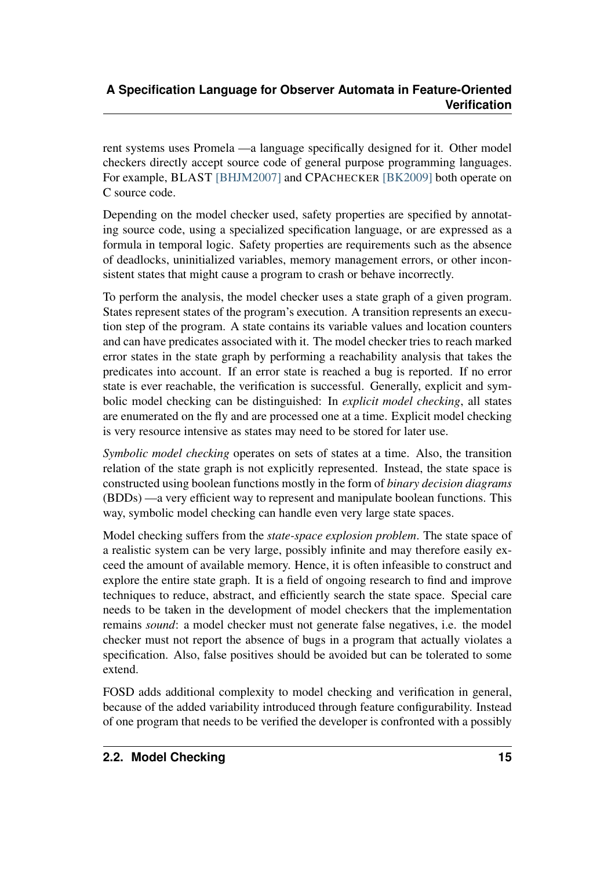rent systems uses Promela —a language specifically designed for it. Other model checkers directly accept source code of general purpose programming languages. For example, BLAST [\[BHJM2007\]](#page-66-1) and CPACHECKER [\[BK2009\]](#page-66-2) both operate on C source code.

Depending on the model checker used, safety properties are specified by annotating source code, using a specialized specification language, or are expressed as a formula in temporal logic. Safety properties are requirements such as the absence of deadlocks, uninitialized variables, memory management errors, or other inconsistent states that might cause a program to crash or behave incorrectly.

To perform the analysis, the model checker uses a state graph of a given program. States represent states of the program's execution. A transition represents an execution step of the program. A state contains its variable values and location counters and can have predicates associated with it. The model checker tries to reach marked error states in the state graph by performing a reachability analysis that takes the predicates into account. If an error state is reached a bug is reported. If no error state is ever reachable, the verification is successful. Generally, explicit and symbolic model checking can be distinguished: In *explicit model checking*, all states are enumerated on the fly and are processed one at a time. Explicit model checking is very resource intensive as states may need to be stored for later use.

*Symbolic model checking* operates on sets of states at a time. Also, the transition relation of the state graph is not explicitly represented. Instead, the state space is constructed using boolean functions mostly in the form of *binary decision diagrams* (BDDs) —a very efficient way to represent and manipulate boolean functions. This way, symbolic model checking can handle even very large state spaces.

Model checking suffers from the *state-space explosion problem*. The state space of a realistic system can be very large, possibly infinite and may therefore easily exceed the amount of available memory. Hence, it is often infeasible to construct and explore the entire state graph. It is a field of ongoing research to find and improve techniques to reduce, abstract, and efficiently search the state space. Special care needs to be taken in the development of model checkers that the implementation remains *sound*: a model checker must not generate false negatives, i.e. the model checker must not report the absence of bugs in a program that actually violates a specification. Also, false positives should be avoided but can be tolerated to some extend.

FOSD adds additional complexity to model checking and verification in general, because of the added variability introduced through feature configurability. Instead of one program that needs to be verified the developer is confronted with a possibly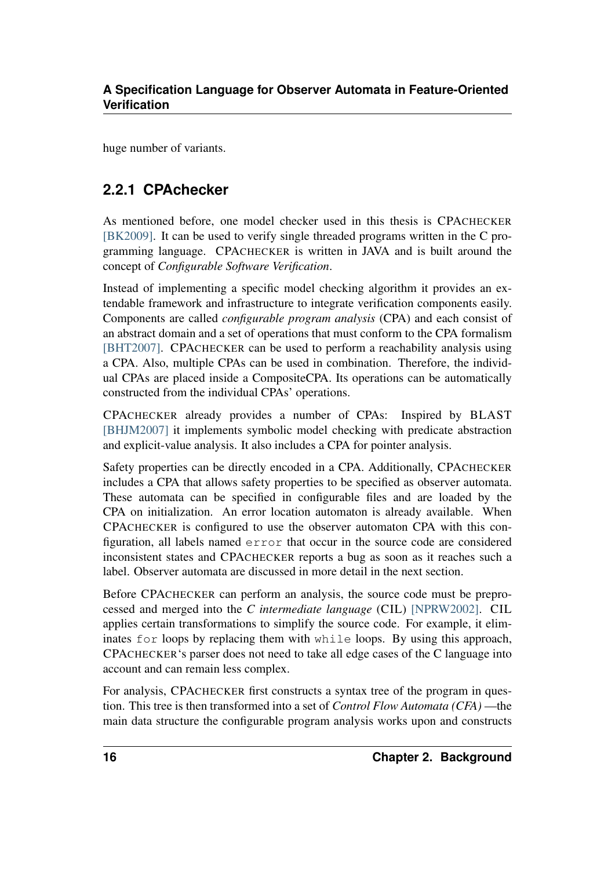huge number of variants.

### <span id="page-19-0"></span>**2.2.1 CPAchecker**

As mentioned before, one model checker used in this thesis is CPACHECKER [\[BK2009\].](#page-66-2) It can be used to verify single threaded programs written in the C programming language. CPACHECKER is written in JAVA and is built around the concept of *Configurable Software Verification*.

Instead of implementing a specific model checking algorithm it provides an extendable framework and infrastructure to integrate verification components easily. Components are called *configurable program analysis* (CPA) and each consist of an abstract domain and a set of operations that must conform to the CPA formalism [\[BHT2007\].](#page-66-3) CPACHECKER can be used to perform a reachability analysis using a CPA. Also, multiple CPAs can be used in combination. Therefore, the individual CPAs are placed inside a CompositeCPA. Its operations can be automatically constructed from the individual CPAs' operations.

CPACHECKER already provides a number of CPAs: Inspired by BLAST [\[BHJM2007\]](#page-66-1) it implements symbolic model checking with predicate abstraction and explicit-value analysis. It also includes a CPA for pointer analysis.

Safety properties can be directly encoded in a CPA. Additionally, CPACHECKER includes a CPA that allows safety properties to be specified as observer automata. These automata can be specified in configurable files and are loaded by the CPA on initialization. An error location automaton is already available. When CPACHECKER is configured to use the observer automaton CPA with this configuration, all labels named error that occur in the source code are considered inconsistent states and CPACHECKER reports a bug as soon as it reaches such a label. Observer automata are discussed in more detail in the next section.

Before CPACHECKER can perform an analysis, the source code must be preprocessed and merged into the *C intermediate language* (CIL) [\[NPRW2002\].](#page-66-4) CIL applies certain transformations to simplify the source code. For example, it eliminates for loops by replacing them with while loops. By using this approach, CPACHECKER's parser does not need to take all edge cases of the C language into account and can remain less complex.

For analysis, CPACHECKER first constructs a syntax tree of the program in question. This tree is then transformed into a set of *Control Flow Automata (CFA)* —the main data structure the configurable program analysis works upon and constructs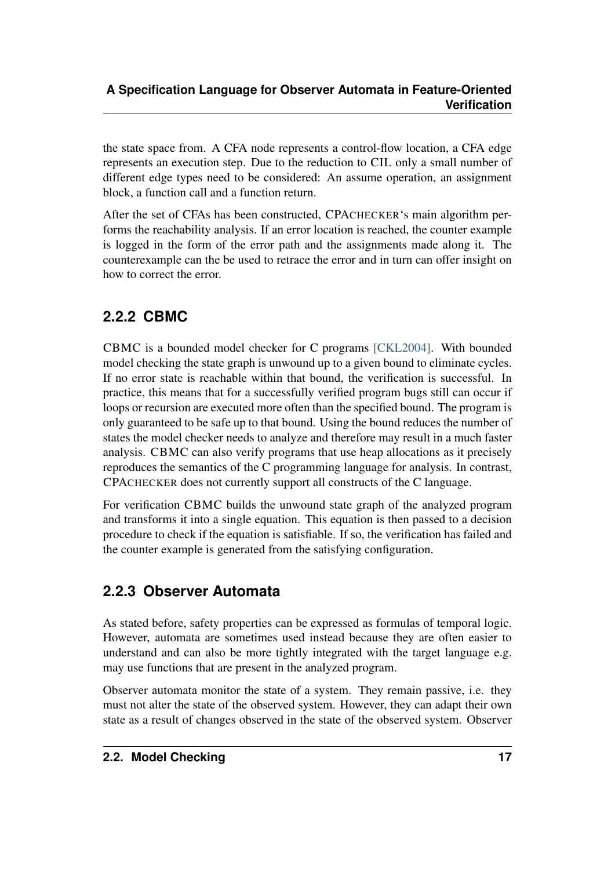the state space from. A CFA node represents a control-flow location, a CFA edge represents an execution step. Due to the reduction to CIL only a small number of different edge types need to be considered: An assume operation, an assignment block, a function call and a function return.

After the set of CFAs has been constructed, CPACHECKER's main algorithm performs the reachability analysis. If an error location is reached, the counter example is logged in the form of the error path and the assignments made along it. The counterexample can the be used to retrace the error and in turn can offer insight on how to correct the error.

## <span id="page-20-0"></span>**2.2.2 CBMC**

CBMC is a bounded model checker for C programs [\[CKL2004\].](#page-66-5) With bounded model checking the state graph is unwound up to a given bound to eliminate cycles. If no error state is reachable within that bound, the verification is successful. In practice, this means that for a successfully verified program bugs still can occur if loops or recursion are executed more often than the specified bound. The program is only guaranteed to be safe up to that bound. Using the bound reduces the number of states the model checker needs to analyze and therefore may result in a much faster analysis. CBMC can also verify programs that use heap allocations as it precisely reproduces the semantics of the C programming language for analysis. In contrast, CPACHECKER does not currently support all constructs of the C language.

For verification CBMC builds the unwound state graph of the analyzed program and transforms it into a single equation. This equation is then passed to a decision procedure to check if the equation is satisfiable. If so, the verification has failed and the counter example is generated from the satisfying configuration.

### <span id="page-20-1"></span>**2.2.3 Observer Automata**

As stated before, safety properties can be expressed as formulas of temporal logic. However, automata are sometimes used instead because they are often easier to understand and can also be more tightly integrated with the target language e.g. may use functions that are present in the analyzed program.

Observer automata monitor the state of a system. They remain passive, i.e. they must not alter the state of the observed system. However, they can adapt their own state as a result of changes observed in the state of the observed system. Observer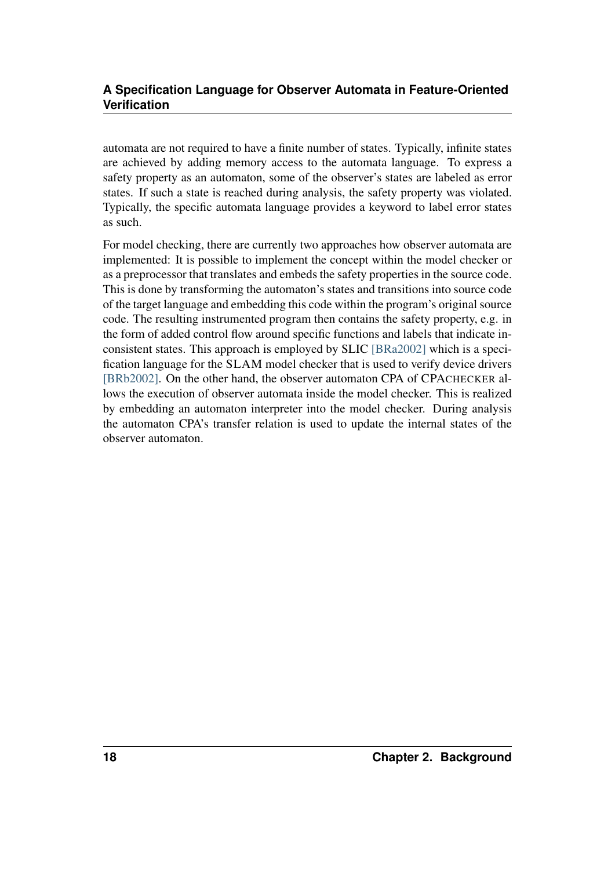automata are not required to have a finite number of states. Typically, infinite states are achieved by adding memory access to the automata language. To express a safety property as an automaton, some of the observer's states are labeled as error states. If such a state is reached during analysis, the safety property was violated. Typically, the specific automata language provides a keyword to label error states as such.

For model checking, there are currently two approaches how observer automata are implemented: It is possible to implement the concept within the model checker or as a preprocessor that translates and embeds the safety properties in the source code. This is done by transforming the automaton's states and transitions into source code of the target language and embedding this code within the program's original source code. The resulting instrumented program then contains the safety property, e.g. in the form of added control flow around specific functions and labels that indicate inconsistent states. This approach is employed by SLIC [\[BRa2002\]](#page-65-0) which is a specification language for the SLAM model checker that is used to verify device drivers [\[BRb2002\].](#page-66-6) On the other hand, the observer automaton CPA of CPACHECKER allows the execution of observer automata inside the model checker. This is realized by embedding an automaton interpreter into the model checker. During analysis the automaton CPA's transfer relation is used to update the internal states of the observer automaton.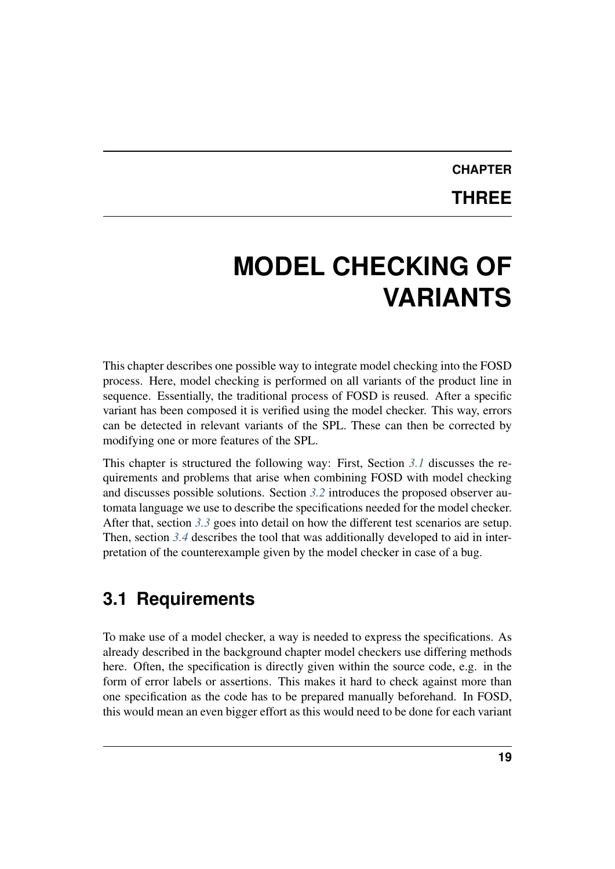# **CHAPTER THREE**

# <span id="page-22-0"></span>**MODEL CHECKING OF VARIANTS**

This chapter describes one possible way to integrate model checking into the FOSD process. Here, model checking is performed on all variants of the product line in sequence. Essentially, the traditional process of FOSD is reused. After a specific variant has been composed it is verified using the model checker. This way, errors can be detected in relevant variants of the SPL. These can then be corrected by modifying one or more features of the SPL.

This chapter is structured the following way: First, Section *[3.1](#page-22-1)* discusses the requirements and problems that arise when combining FOSD with model checking and discusses possible solutions. Section *[3.2](#page-25-0)* introduces the proposed observer automata language we use to describe the specifications needed for the model checker. After that, section *[3.3](#page-32-0)* goes into detail on how the different test scenarios are setup. Then, section *[3.4](#page-36-0)* describes the tool that was additionally developed to aid in interpretation of the counterexample given by the model checker in case of a bug.

## <span id="page-22-1"></span>**3.1 Requirements**

To make use of a model checker, a way is needed to express the specifications. As already described in the background chapter model checkers use differing methods here. Often, the specification is directly given within the source code, e.g. in the form of error labels or assertions. This makes it hard to check against more than one specification as the code has to be prepared manually beforehand. In FOSD, this would mean an even bigger effort as this would need to be done for each variant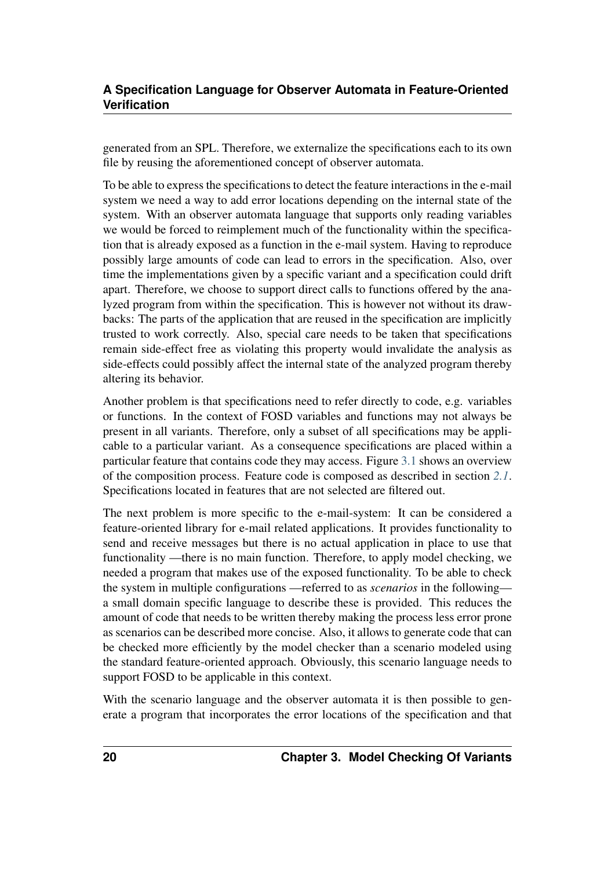generated from an SPL. Therefore, we externalize the specifications each to its own file by reusing the aforementioned concept of observer automata.

To be able to express the specifications to detect the feature interactions in the e-mail system we need a way to add error locations depending on the internal state of the system. With an observer automata language that supports only reading variables we would be forced to reimplement much of the functionality within the specification that is already exposed as a function in the e-mail system. Having to reproduce possibly large amounts of code can lead to errors in the specification. Also, over time the implementations given by a specific variant and a specification could drift apart. Therefore, we choose to support direct calls to functions offered by the analyzed program from within the specification. This is however not without its drawbacks: The parts of the application that are reused in the specification are implicitly trusted to work correctly. Also, special care needs to be taken that specifications remain side-effect free as violating this property would invalidate the analysis as side-effects could possibly affect the internal state of the analyzed program thereby altering its behavior.

<span id="page-23-0"></span>Another problem is that specifications need to refer directly to code, e.g. variables or functions. In the context of FOSD variables and functions may not always be present in all variants. Therefore, only a subset of all specifications may be applicable to a particular variant. As a consequence specifications are placed within a particular feature that contains code they may access. Figure [3.1](#page-23-0) shows an overview of the composition process. Feature code is composed as described in section *[2.1](#page-9-0)*. Specifications located in features that are not selected are filtered out.

The next problem is more specific to the e-mail-system: It can be considered a feature-oriented library for e-mail related applications. It provides functionality to send and receive messages but there is no actual application in place to use that functionality —there is no main function. Therefore, to apply model checking, we needed a program that makes use of the exposed functionality. To be able to check the system in multiple configurations —referred to as *scenarios* in the following a small domain specific language to describe these is provided. This reduces the amount of code that needs to be written thereby making the process less error prone as scenarios can be described more concise. Also, it allows to generate code that can be checked more efficiently by the model checker than a scenario modeled using the standard feature-oriented approach. Obviously, this scenario language needs to support FOSD to be applicable in this context.

With the scenario language and the observer automata it is then possible to generate a program that incorporates the error locations of the specification and that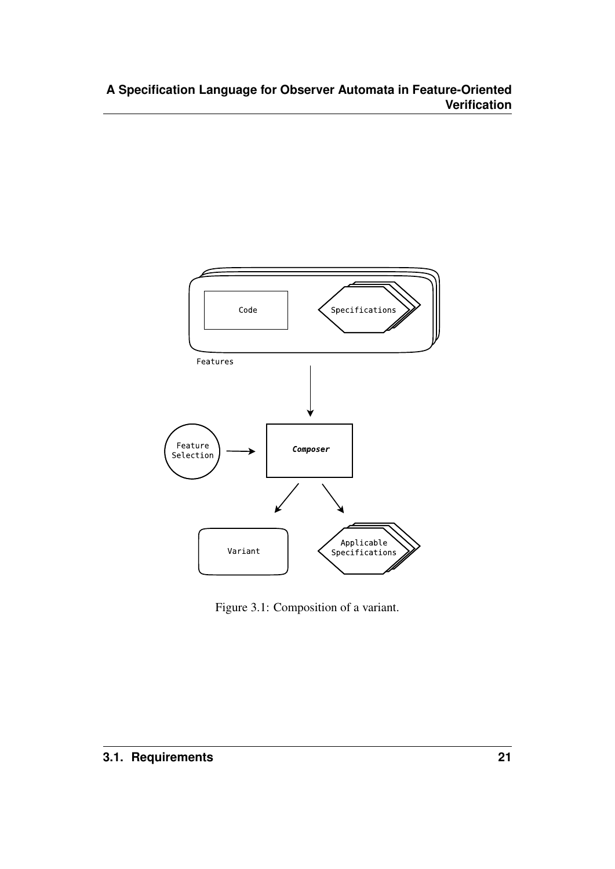

Figure 3.1: Composition of a variant.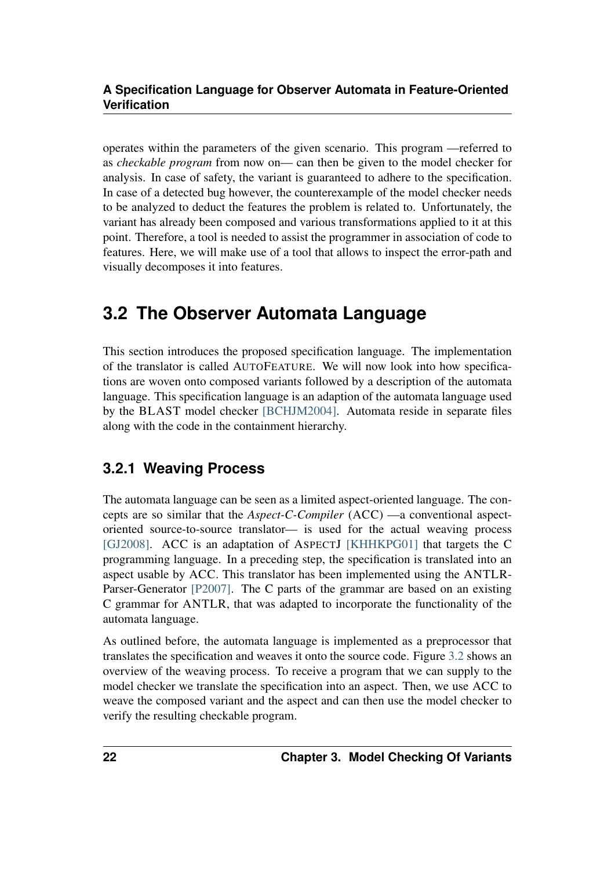operates within the parameters of the given scenario. This program —referred to as *checkable program* from now on— can then be given to the model checker for analysis. In case of safety, the variant is guaranteed to adhere to the specification. In case of a detected bug however, the counterexample of the model checker needs to be analyzed to deduct the features the problem is related to. Unfortunately, the variant has already been composed and various transformations applied to it at this point. Therefore, a tool is needed to assist the programmer in association of code to features. Here, we will make use of a tool that allows to inspect the error-path and visually decomposes it into features.

## <span id="page-25-0"></span>**3.2 The Observer Automata Language**

This section introduces the proposed specification language. The implementation of the translator is called AUTOFEATURE. We will now look into how specifications are woven onto composed variants followed by a description of the automata language. This specification language is an adaption of the automata language used by the BLAST model checker [\[BCHJM2004\].](#page-64-6) Automata reside in separate files along with the code in the containment hierarchy.

### <span id="page-25-1"></span>**3.2.1 Weaving Process**

The automata language can be seen as a limited aspect-oriented language. The concepts are so similar that the *Aspect-C-Compiler* (ACC) —a conventional aspectoriented source-to-source translator— is used for the actual weaving process [\[GJ2008\].](#page-66-7) ACC is an adaptation of ASPECTJ [\[KHHKPG01\]](#page-66-8) that targets the C programming language. In a preceding step, the specification is translated into an aspect usable by ACC. This translator has been implemented using the ANTLR-Parser-Generator [\[P2007\].](#page-67-0) The C parts of the grammar are based on an existing C grammar for ANTLR, that was adapted to incorporate the functionality of the automata language.

<span id="page-25-2"></span>As outlined before, the automata language is implemented as a preprocessor that translates the specification and weaves it onto the source code. Figure [3.2](#page-25-2) shows an overview of the weaving process. To receive a program that we can supply to the model checker we translate the specification into an aspect. Then, we use ACC to weave the composed variant and the aspect and can then use the model checker to verify the resulting checkable program.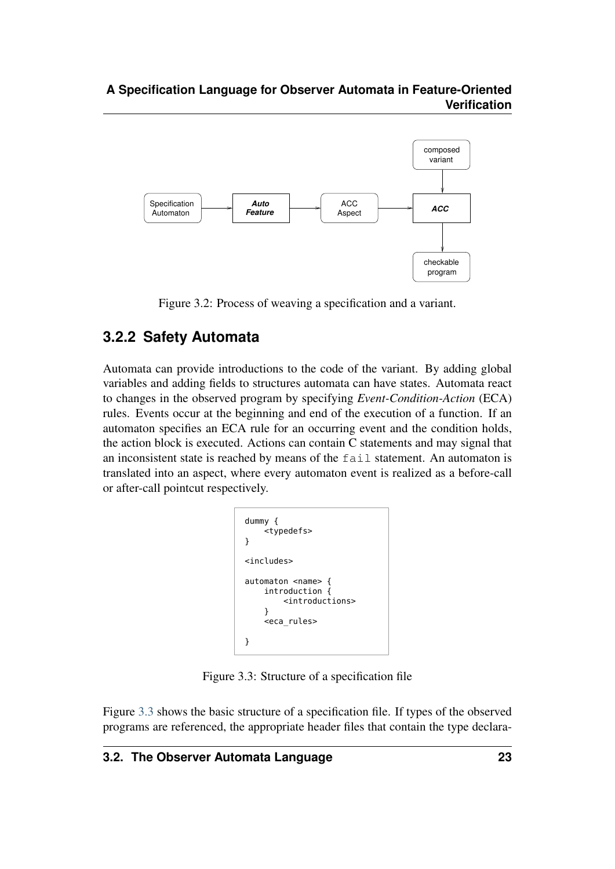

Figure 3.2: Process of weaving a specification and a variant.

### <span id="page-26-0"></span>**3.2.2 Safety Automata**

Automata can provide introductions to the code of the variant. By adding global variables and adding fields to structures automata can have states. Automata react to changes in the observed program by specifying *Event-Condition-Action* (ECA) rules. Events occur at the beginning and end of the execution of a function. If an automaton specifies an ECA rule for an occurring event and the condition holds, the action block is executed. Actions can contain C statements and may signal that an inconsistent state is reached by means of the fail statement. An automaton is translated into an aspect, where every automaton event is realized as a before-call or after-call pointcut respectively.

<span id="page-26-1"></span>

| dummy {<br><typedefs><br/>ł</typedefs>                                                                            |
|-------------------------------------------------------------------------------------------------------------------|
| <includes></includes>                                                                                             |
| automaton <name> {<br/>introduction {<br/><math>\le</math>introductions&gt;<br/>ł<br/><eca rules=""></eca></name> |
|                                                                                                                   |

Figure 3.3: Structure of a specification file

Figure [3.3](#page-26-1) shows the basic structure of a specification file. If types of the observed programs are referenced, the appropriate header files that contain the type declara-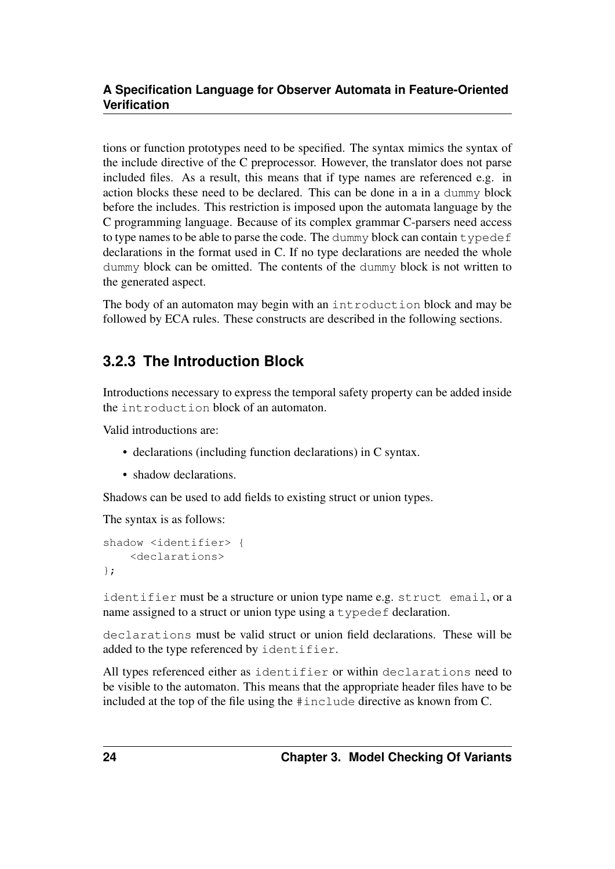tions or function prototypes need to be specified. The syntax mimics the syntax of the include directive of the C preprocessor. However, the translator does not parse included files. As a result, this means that if type names are referenced e.g. in action blocks these need to be declared. This can be done in a in a dummy block before the includes. This restriction is imposed upon the automata language by the C programming language. Because of its complex grammar C-parsers need access to type names to be able to parse the code. The dummy block can contain typedef declarations in the format used in C. If no type declarations are needed the whole dummy block can be omitted. The contents of the dummy block is not written to the generated aspect.

The body of an automaton may begin with an introduction block and may be followed by ECA rules. These constructs are described in the following sections.

### <span id="page-27-0"></span>**3.2.3 The Introduction Block**

Introductions necessary to express the temporal safety property can be added inside the introduction block of an automaton.

Valid introductions are:

- declarations (including function declarations) in C syntax.
- shadow declarations.

Shadows can be used to add fields to existing struct or union types.

The syntax is as follows:

```
shadow <identifier> {
    <declarations>
};
```
identifier must be a structure or union type name e.g. struct email, or a name assigned to a struct or union type using a typedef declaration.

declarations must be valid struct or union field declarations. These will be added to the type referenced by identifier.

All types referenced either as identifier or within declarations need to be visible to the automaton. This means that the appropriate header files have to be included at the top of the file using the #include directive as known from C.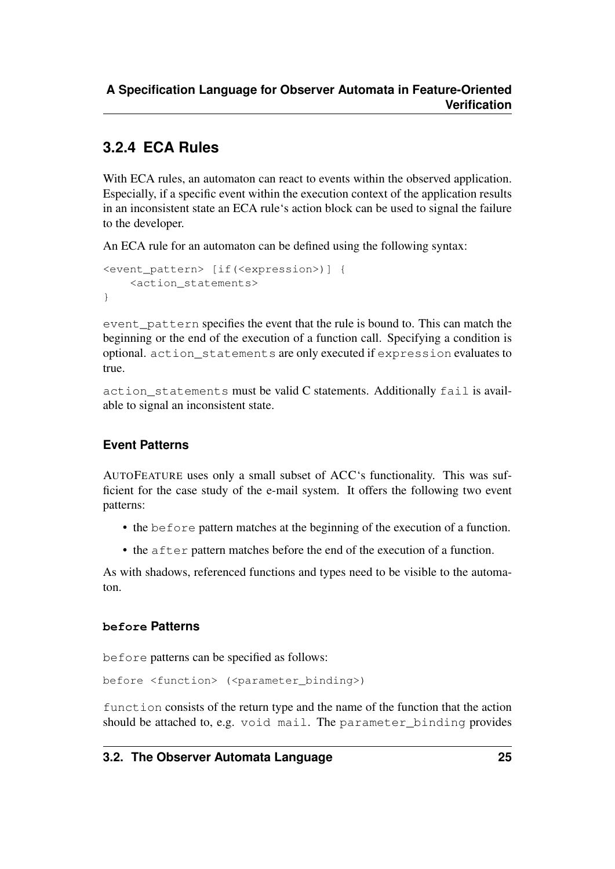### <span id="page-28-0"></span>**3.2.4 ECA Rules**

With ECA rules, an automaton can react to events within the observed application. Especially, if a specific event within the execution context of the application results in an inconsistent state an ECA rule's action block can be used to signal the failure to the developer.

An ECA rule for an automaton can be defined using the following syntax:

```
<event_pattern> [if(<expression>)] {
    <action_statements>
}
```
event pattern specifies the event that the rule is bound to. This can match the beginning or the end of the execution of a function call. Specifying a condition is optional. action\_statements are only executed if expression evaluates to true.

action statements must be valid C statements. Additionally fail is available to signal an inconsistent state.

#### **Event Patterns**

AUTOFEATURE uses only a small subset of ACC's functionality. This was sufficient for the case study of the e-mail system. It offers the following two event patterns:

- the before pattern matches at the beginning of the execution of a function.
- the after pattern matches before the end of the execution of a function.

As with shadows, referenced functions and types need to be visible to the automaton.

#### **before Patterns**

before patterns can be specified as follows:

before <function> (<parameter\_binding>)

function consists of the return type and the name of the function that the action should be attached to, e.g. void mail. The parameter\_binding provides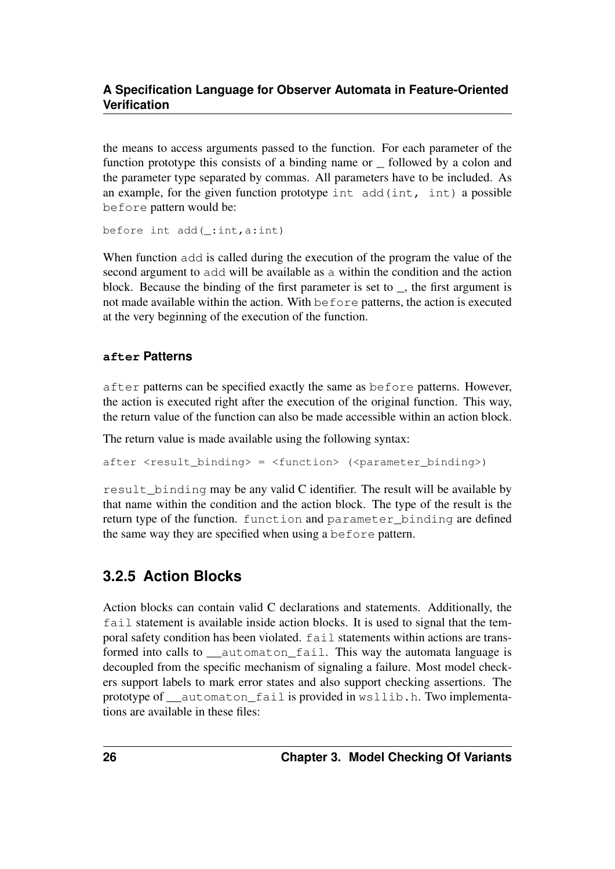the means to access arguments passed to the function. For each parameter of the function prototype this consists of a binding name or \_ followed by a colon and the parameter type separated by commas. All parameters have to be included. As an example, for the given function prototype int add(int, int) a possible before pattern would be:

before int add(\_:int,a:int)

When function add is called during the execution of the program the value of the second argument to add will be available as a within the condition and the action block. Because the binding of the first parameter is set to \_, the first argument is not made available within the action. With before patterns, the action is executed at the very beginning of the execution of the function.

#### **after Patterns**

after patterns can be specified exactly the same as before patterns. However, the action is executed right after the execution of the original function. This way, the return value of the function can also be made accessible within an action block.

The return value is made available using the following syntax:

after <result\_binding> = <function> (<parameter\_binding>)

result binding may be any valid C identifier. The result will be available by that name within the condition and the action block. The type of the result is the return type of the function. function and parameter\_binding are defined the same way they are specified when using a before pattern.

### <span id="page-29-0"></span>**3.2.5 Action Blocks**

Action blocks can contain valid C declarations and statements. Additionally, the fail statement is available inside action blocks. It is used to signal that the temporal safety condition has been violated. fail statements within actions are transformed into calls to \_\_automaton\_fail. This way the automata language is decoupled from the specific mechanism of signaling a failure. Most model checkers support labels to mark error states and also support checking assertions. The prototype of \_\_automaton\_fail is provided in wsllib.h. Two implementations are available in these files: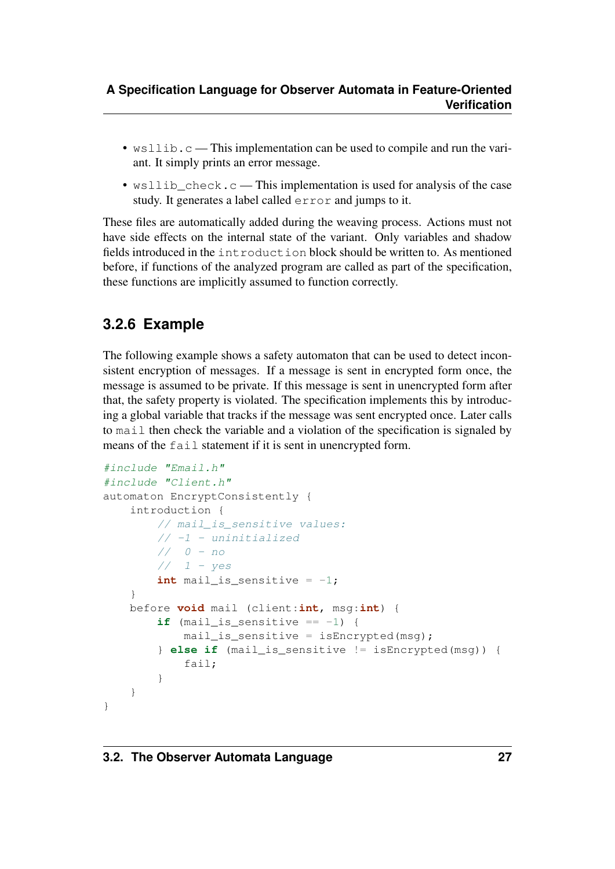- wsllib.c This implementation can be used to compile and run the variant. It simply prints an error message.
- wsllib\_check.c This implementation is used for analysis of the case study. It generates a label called error and jumps to it.

These files are automatically added during the weaving process. Actions must not have side effects on the internal state of the variant. Only variables and shadow fields introduced in the introduction block should be written to. As mentioned before, if functions of the analyzed program are called as part of the specification, these functions are implicitly assumed to function correctly.

## <span id="page-30-0"></span>**3.2.6 Example**

The following example shows a safety automaton that can be used to detect inconsistent encryption of messages. If a message is sent in encrypted form once, the message is assumed to be private. If this message is sent in unencrypted form after that, the safety property is violated. The specification implements this by introducing a global variable that tracks if the message was sent encrypted once. Later calls to mail then check the variable and a violation of the specification is signaled by means of the fail statement if it is sent in unencrypted form.

```
#include "Email.h"
#include "Client.h"
automaton EncryptConsistently {
    introduction {
        // mail_is_sensitive values:
        // -1 - uninitialized// 0 - no// 1 - yesint mail_is_sensitive = -1;
    }
    before void mail (client:int, msg:int) {
        if (mail_is_sensitive == -1) {
            mail_is_sensitive = isEncrypted(msq);} else if (mail_is_sensitive != isEncrypted(msg)) {
            fail;
        }
    }
}
```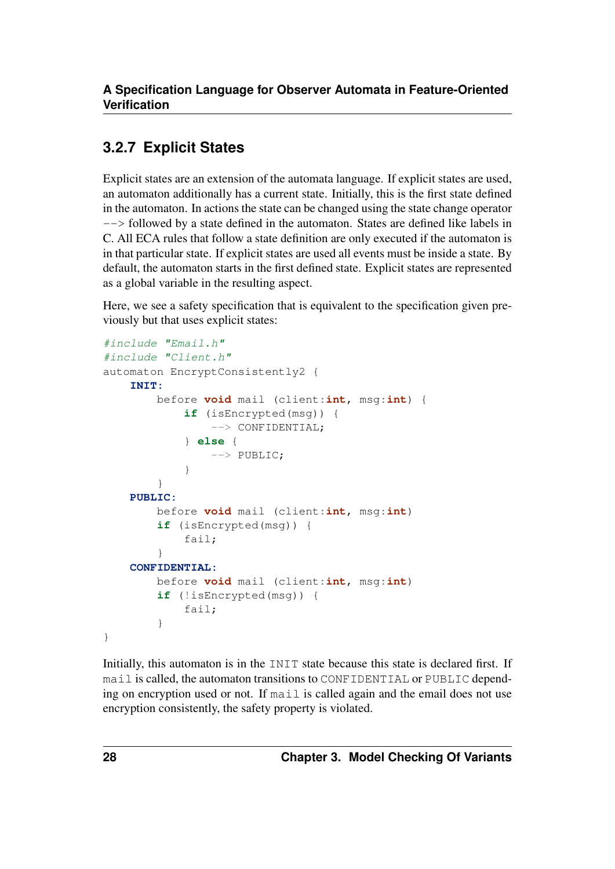### <span id="page-31-0"></span>**3.2.7 Explicit States**

Explicit states are an extension of the automata language. If explicit states are used, an automaton additionally has a current state. Initially, this is the first state defined in the automaton. In actions the state can be changed using the state change operator --> followed by a state defined in the automaton. States are defined like labels in C. All ECA rules that follow a state definition are only executed if the automaton is in that particular state. If explicit states are used all events must be inside a state. By default, the automaton starts in the first defined state. Explicit states are represented as a global variable in the resulting aspect.

Here, we see a safety specification that is equivalent to the specification given previously but that uses explicit states:

```
#include "Email.h"
#include "Client.h"
automaton EncryptConsistently2 {
    INIT:
        before void mail (client:int, msg:int) {
            if (isEncrypted(msg)) {
                --> CONFIDENTIAL;
            } else {
                --> PUBLIC;
            }
        }
    PUBLIC:
        before void mail (client:int, msg:int)
        if (isEncrypted(msg)) {
            fail;
        }
    CONFIDENTIAL:
        before void mail (client:int, msg:int)
        if (!isEncrypted(msg)) {
            fail;
        }
}
```
Initially, this automaton is in the INIT state because this state is declared first. If mail is called, the automaton transitions to CONFIDENTIAL or PUBLIC depending on encryption used or not. If mail is called again and the email does not use encryption consistently, the safety property is violated.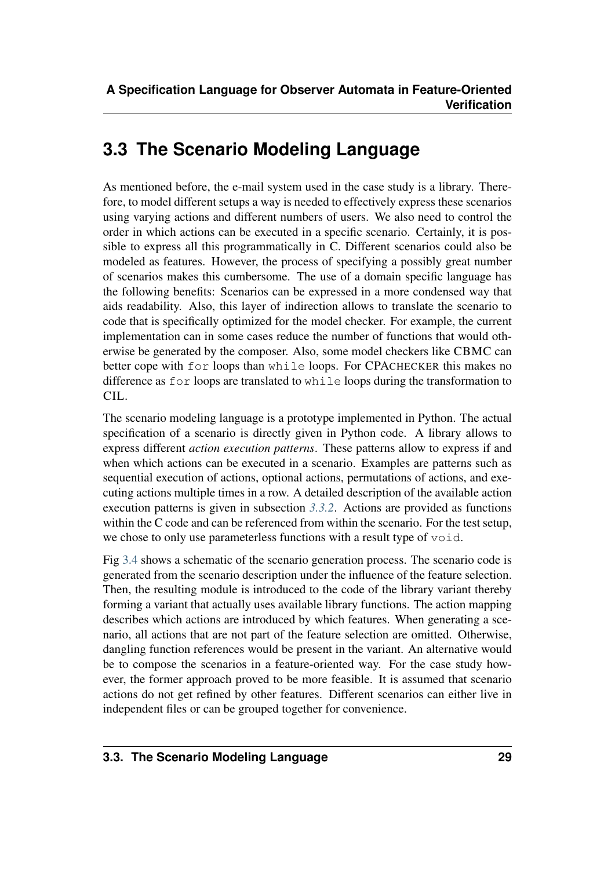# <span id="page-32-0"></span>**3.3 The Scenario Modeling Language**

As mentioned before, the e-mail system used in the case study is a library. Therefore, to model different setups a way is needed to effectively express these scenarios using varying actions and different numbers of users. We also need to control the order in which actions can be executed in a specific scenario. Certainly, it is possible to express all this programmatically in C. Different scenarios could also be modeled as features. However, the process of specifying a possibly great number of scenarios makes this cumbersome. The use of a domain specific language has the following benefits: Scenarios can be expressed in a more condensed way that aids readability. Also, this layer of indirection allows to translate the scenario to code that is specifically optimized for the model checker. For example, the current implementation can in some cases reduce the number of functions that would otherwise be generated by the composer. Also, some model checkers like CBMC can better cope with for loops than while loops. For CPACHECKER this makes no difference as for loops are translated to while loops during the transformation to CIL.

The scenario modeling language is a prototype implemented in Python. The actual specification of a scenario is directly given in Python code. A library allows to express different *action execution patterns*. These patterns allow to express if and when which actions can be executed in a scenario. Examples are patterns such as sequential execution of actions, optional actions, permutations of actions, and executing actions multiple times in a row. A detailed description of the available action execution patterns is given in subsection *[3.3.2](#page-34-0)*. Actions are provided as functions within the C code and can be referenced from within the scenario. For the test setup, we chose to only use parameterless functions with a result type of void.

<span id="page-32-1"></span>Fig [3.4](#page-32-1) shows a schematic of the scenario generation process. The scenario code is generated from the scenario description under the influence of the feature selection. Then, the resulting module is introduced to the code of the library variant thereby forming a variant that actually uses available library functions. The action mapping describes which actions are introduced by which features. When generating a scenario, all actions that are not part of the feature selection are omitted. Otherwise, dangling function references would be present in the variant. An alternative would be to compose the scenarios in a feature-oriented way. For the case study however, the former approach proved to be more feasible. It is assumed that scenario actions do not get refined by other features. Different scenarios can either live in independent files or can be grouped together for convenience.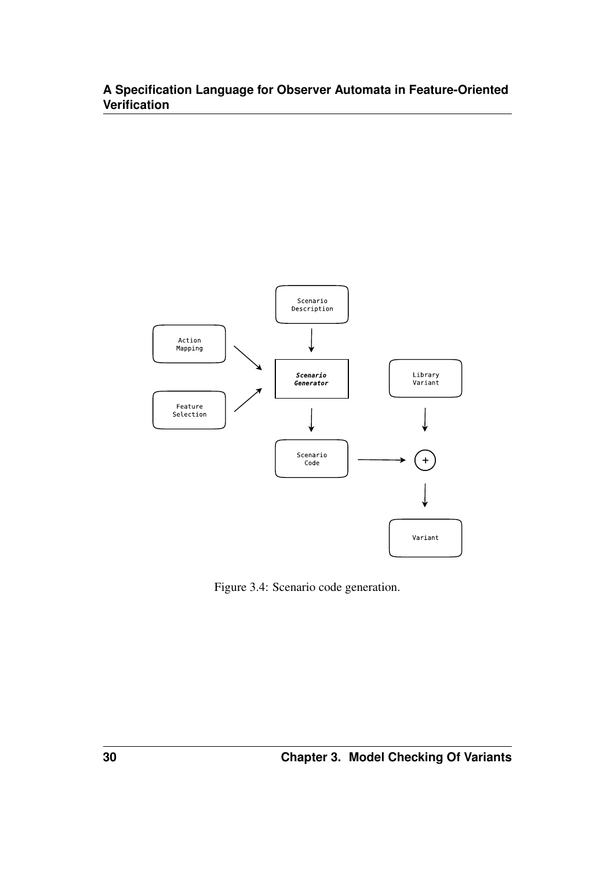

Figure 3.4: Scenario code generation.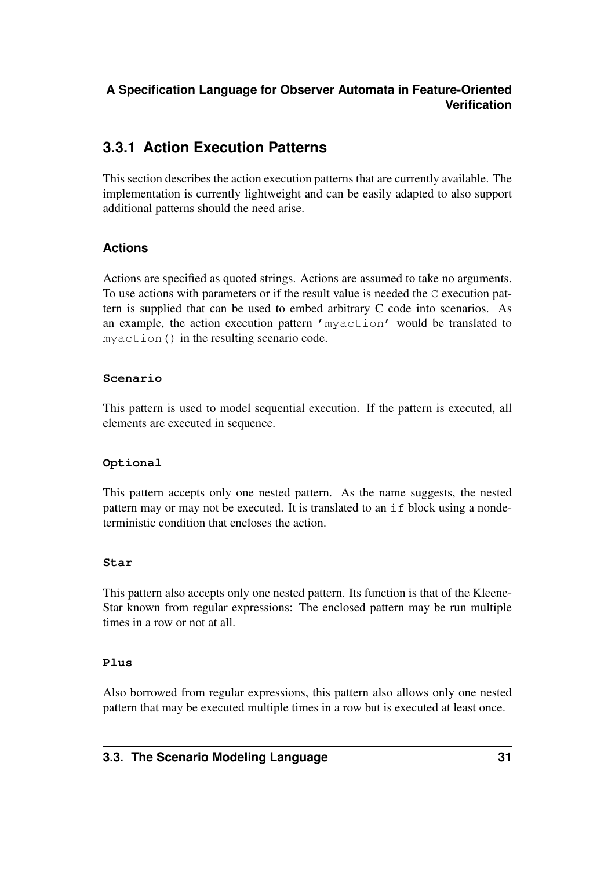### <span id="page-34-0"></span>**3.3.1 Action Execution Patterns**

This section describes the action execution patterns that are currently available. The implementation is currently lightweight and can be easily adapted to also support additional patterns should the need arise.

#### **Actions**

Actions are specified as quoted strings. Actions are assumed to take no arguments. To use actions with parameters or if the result value is needed the C execution pattern is supplied that can be used to embed arbitrary C code into scenarios. As an example, the action execution pattern 'myaction' would be translated to myaction() in the resulting scenario code.

#### **Scenario**

This pattern is used to model sequential execution. If the pattern is executed, all elements are executed in sequence.

#### **Optional**

This pattern accepts only one nested pattern. As the name suggests, the nested pattern may or may not be executed. It is translated to an if block using a nondeterministic condition that encloses the action.

#### **Star**

This pattern also accepts only one nested pattern. Its function is that of the Kleene-Star known from regular expressions: The enclosed pattern may be run multiple times in a row or not at all.

#### **Plus**

Also borrowed from regular expressions, this pattern also allows only one nested pattern that may be executed multiple times in a row but is executed at least once.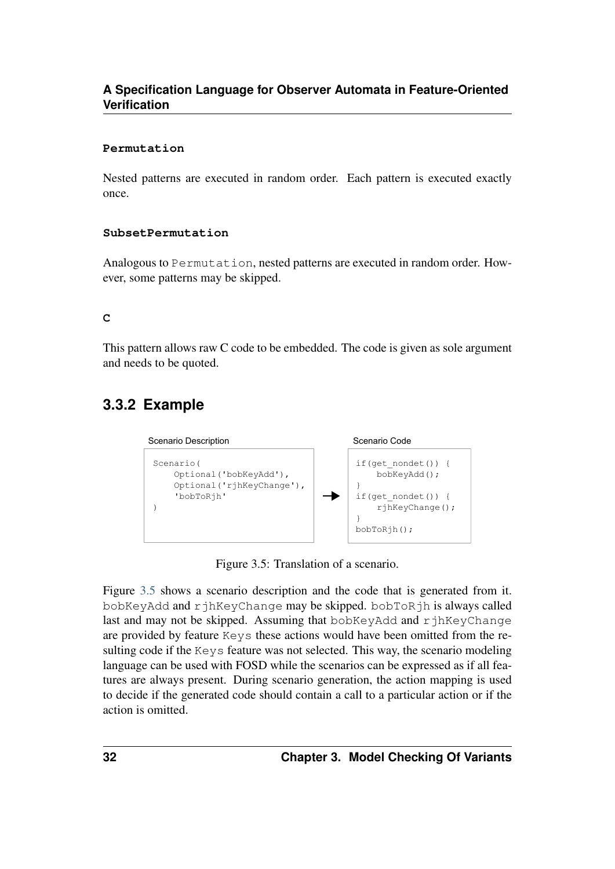#### **Permutation**

Nested patterns are executed in random order. Each pattern is executed exactly once.

#### **SubsetPermutation**

Analogous to Permutation, nested patterns are executed in random order. However, some patterns may be skipped.

#### **C**

This pattern allows raw C code to be embedded. The code is given as sole argument and needs to be quoted.

### <span id="page-35-1"></span><span id="page-35-0"></span>**3.3.2 Example**



Figure 3.5: Translation of a scenario.

Figure [3.5](#page-35-1) shows a scenario description and the code that is generated from it. bobKeyAdd and rjhKeyChange may be skipped. bobToRjh is always called last and may not be skipped. Assuming that bobKeyAdd and rjhKeyChange are provided by feature Keys these actions would have been omitted from the resulting code if the Keys feature was not selected. This way, the scenario modeling language can be used with FOSD while the scenarios can be expressed as if all features are always present. During scenario generation, the action mapping is used to decide if the generated code should contain a call to a particular action or if the action is omitted.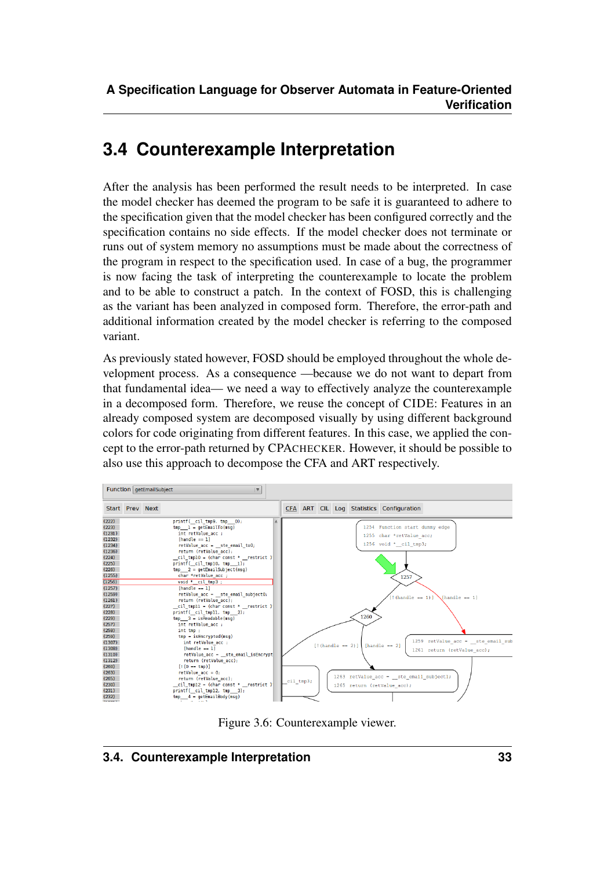# <span id="page-36-0"></span>**3.4 Counterexample Interpretation**

After the analysis has been performed the result needs to be interpreted. In case the model checker has deemed the program to be safe it is guaranteed to adhere to the specification given that the model checker has been configured correctly and the specification contains no side effects. If the model checker does not terminate or runs out of system memory no assumptions must be made about the correctness of the program in respect to the specification used. In case of a bug, the programmer is now facing the task of interpreting the counterexample to locate the problem and to be able to construct a patch. In the context of FOSD, this is challenging as the variant has been analyzed in composed form. Therefore, the error-path and additional information created by the model checker is referring to the composed variant.

As previously stated however, FOSD should be employed throughout the whole development process. As a consequence —because we do not want to depart from that fundamental idea— we need a way to effectively analyze the counterexample in a decomposed form. Therefore, we reuse the concept of CIDE: Features in an already composed system are decomposed visually by using different background colors for code originating from different features. In this case, we applied the concept to the error-path returned by CPACHECKER. However, it should be possible to also use this approach to decompose the CFA and ART respectively.



<span id="page-36-1"></span>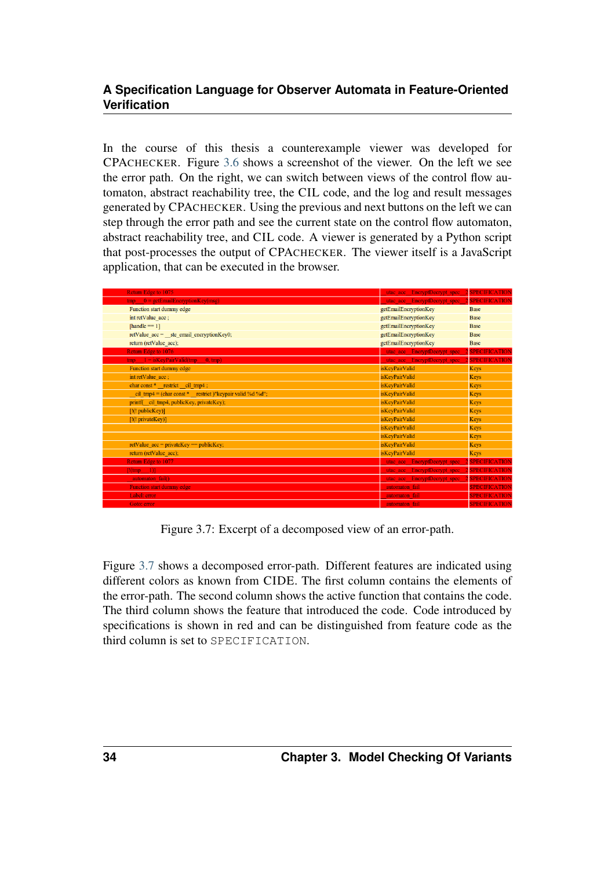In the course of this thesis a counterexample viewer was developed for CPACHECKER. Figure [3.6](#page-36-1) shows a screenshot of the viewer. On the left we see the error path. On the right, we can switch between views of the control flow automaton, abstract reachability tree, the CIL code, and the log and result messages generated by CPACHECKER. Using the previous and next buttons on the left we can step through the error path and see the current state on the control flow automaton, abstract reachability tree, and CIL code. A viewer is generated by a Python script that post-processes the output of CPACHECKER. The viewer itself is a JavaScript application, that can be executed in the browser.

<span id="page-37-0"></span>

| Return Edge to 1075                                                     | utac_acc_EncryptDecrypt_spec_ | <b>SPECIFICATION</b> |
|-------------------------------------------------------------------------|-------------------------------|----------------------|
| $tmp = qetEmailEncryptionKey(msg)$                                      | utac acc EncryptDecrypt spec  | <b>SPECIFICATION</b> |
| Function start dummy edge                                               | getEmailEncryptionKey         | <b>Base</b>          |
| int retValue acc;                                                       | getEmailEncryptionKey         | <b>Base</b>          |
| [handle $== 1$ ]                                                        | getEmailEncryptionKey         | <b>Base</b>          |
| retValue acc = ste email encryptionKey0;                                | getEmailEncryptionKey         | <b>Base</b>          |
| return (retValue acc);                                                  | getEmailEncryptionKey         | <b>Base</b>          |
| Return Edge to 1076                                                     | utac acc EncryptDecrypt spec  | <b>SPECIFICATION</b> |
| $\text{tmp} = 1 = \text{isKeyPairValid}(\text{tmp})$<br>$0, \text{tmp}$ | utac_acc_EncryptDecrypt_spec_ | <b>SPECIFICATION</b> |
| Function start dummy edge                                               | <i>isKeyPairValid</i>         | <b>Keys</b>          |
| int retValue acc;                                                       | isKeyPairValid                | <b>Keys</b>          |
| char const * restrict cil tmp4;                                         | isKeyPairValid                | <b>Keys</b>          |
| cil tmp4 = (char const * restrict)" keypair valid %d %d";               | isKeyPairValid                | <b>Keys</b>          |
| printf(cil tmp4, publicKey, privateKey);                                | isKeyPairValid                | <b>Keys</b>          |
| $[!(! \text{publicKey})]$                                               | isKeyPairValid                | Keys                 |
| [!(! privateKey)]                                                       | isKeyPairValid                | <b>Keys</b>          |
|                                                                         | isKeyPairValid                | <b>Keys</b>          |
|                                                                         | isKeyPairValid                | <b>Keys</b>          |
| retValue $acc = privateKey == publicKey;$                               | isKeyPairValid                | <b>Keys</b>          |
| return (retValue acc);                                                  | isKeyPairValid                | <b>Keys</b>          |
| Return Edge to 1077                                                     | utae ace EncryptDecrypt spec  | <b>SPECIFICATION</b> |
| $[!(\text{tmp} - 1)]$                                                   | utac acc EncryptDecrypt spec  | <b>SPECIFICATION</b> |
| automaton fail()                                                        | utac acc EncryptDecrypt spec  | <b>SPECIFICATION</b> |
| <b>Function start dummy edge</b>                                        | automaton fail                | <b>SPECIFICATION</b> |
| Label: error                                                            | automaton fail                | <b>SPECIFICATION</b> |
| Goto: error                                                             | automaton fail                | <b>SPECIFICATION</b> |

Figure 3.7: Excerpt of a decomposed view of an error-path.

Figure [3.7](#page-37-0) shows a decomposed error-path. Different features are indicated using different colors as known from CIDE. The first column contains the elements of the error-path. The second column shows the active function that contains the code. The third column shows the feature that introduced the code. Code introduced by specifications is shown in red and can be distinguished from feature code as the third column is set to SPECIFICATION.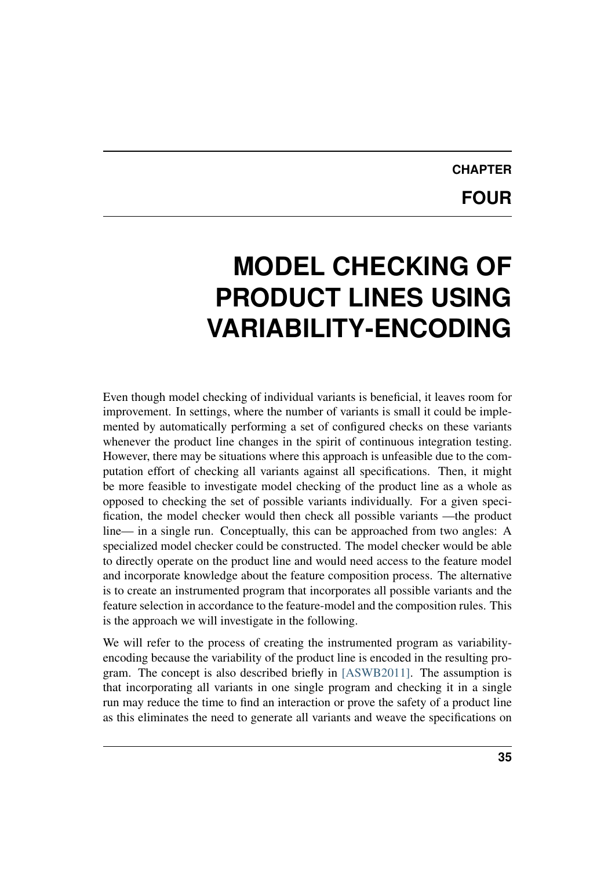# **CHAPTER FOUR**

# <span id="page-38-0"></span>**MODEL CHECKING OF PRODUCT LINES USING VARIABILITY-ENCODING**

Even though model checking of individual variants is beneficial, it leaves room for improvement. In settings, where the number of variants is small it could be implemented by automatically performing a set of configured checks on these variants whenever the product line changes in the spirit of continuous integration testing. However, there may be situations where this approach is unfeasible due to the computation effort of checking all variants against all specifications. Then, it might be more feasible to investigate model checking of the product line as a whole as opposed to checking the set of possible variants individually. For a given specification, the model checker would then check all possible variants —the product line— in a single run. Conceptually, this can be approached from two angles: A specialized model checker could be constructed. The model checker would be able to directly operate on the product line and would need access to the feature model and incorporate knowledge about the feature composition process. The alternative is to create an instrumented program that incorporates all possible variants and the feature selection in accordance to the feature-model and the composition rules. This is the approach we will investigate in the following.

We will refer to the process of creating the instrumented program as variabilityencoding because the variability of the product line is encoded in the resulting program. The concept is also described briefly in [\[ASWB2011\].](#page-66-9) The assumption is that incorporating all variants in one single program and checking it in a single run may reduce the time to find an interaction or prove the safety of a product line as this eliminates the need to generate all variants and weave the specifications on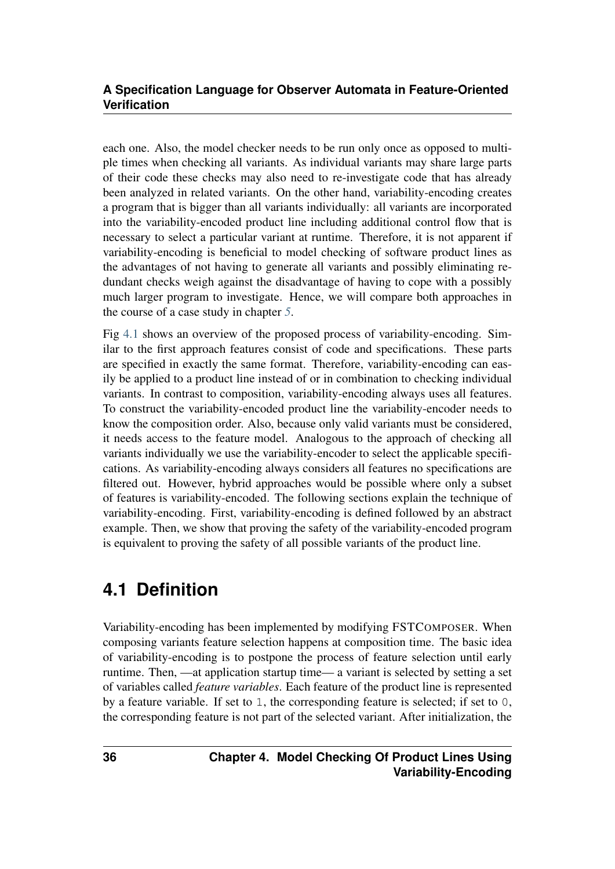each one. Also, the model checker needs to be run only once as opposed to multiple times when checking all variants. As individual variants may share large parts of their code these checks may also need to re-investigate code that has already been analyzed in related variants. On the other hand, variability-encoding creates a program that is bigger than all variants individually: all variants are incorporated into the variability-encoded product line including additional control flow that is necessary to select a particular variant at runtime. Therefore, it is not apparent if variability-encoding is beneficial to model checking of software product lines as the advantages of not having to generate all variants and possibly eliminating redundant checks weigh against the disadvantage of having to cope with a possibly much larger program to investigate. Hence, we will compare both approaches in the course of a case study in chapter *[5](#page-50-0)*.

<span id="page-39-1"></span>Fig [4.1](#page-39-1) shows an overview of the proposed process of variability-encoding. Similar to the first approach features consist of code and specifications. These parts are specified in exactly the same format. Therefore, variability-encoding can easily be applied to a product line instead of or in combination to checking individual variants. In contrast to composition, variability-encoding always uses all features. To construct the variability-encoded product line the variability-encoder needs to know the composition order. Also, because only valid variants must be considered, it needs access to the feature model. Analogous to the approach of checking all variants individually we use the variability-encoder to select the applicable specifications. As variability-encoding always considers all features no specifications are filtered out. However, hybrid approaches would be possible where only a subset of features is variability-encoded. The following sections explain the technique of variability-encoding. First, variability-encoding is defined followed by an abstract example. Then, we show that proving the safety of the variability-encoded program is equivalent to proving the safety of all possible variants of the product line.

## <span id="page-39-0"></span>**4.1 Definition**

Variability-encoding has been implemented by modifying FSTCOMPOSER. When composing variants feature selection happens at composition time. The basic idea of variability-encoding is to postpone the process of feature selection until early runtime. Then, —at application startup time— a variant is selected by setting a set of variables called *feature variables*. Each feature of the product line is represented by a feature variable. If set to 1, the corresponding feature is selected; if set to 0, the corresponding feature is not part of the selected variant. After initialization, the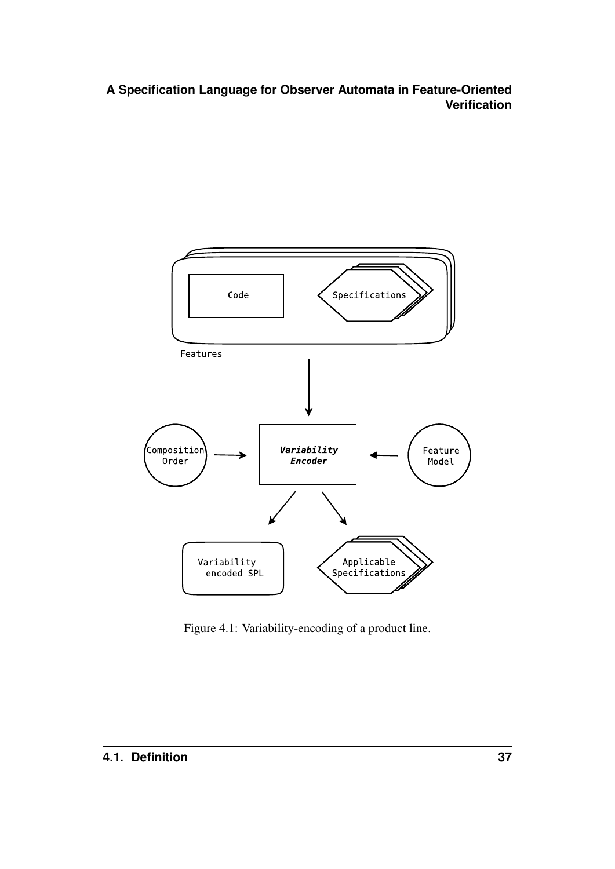

Figure 4.1: Variability-encoding of a product line.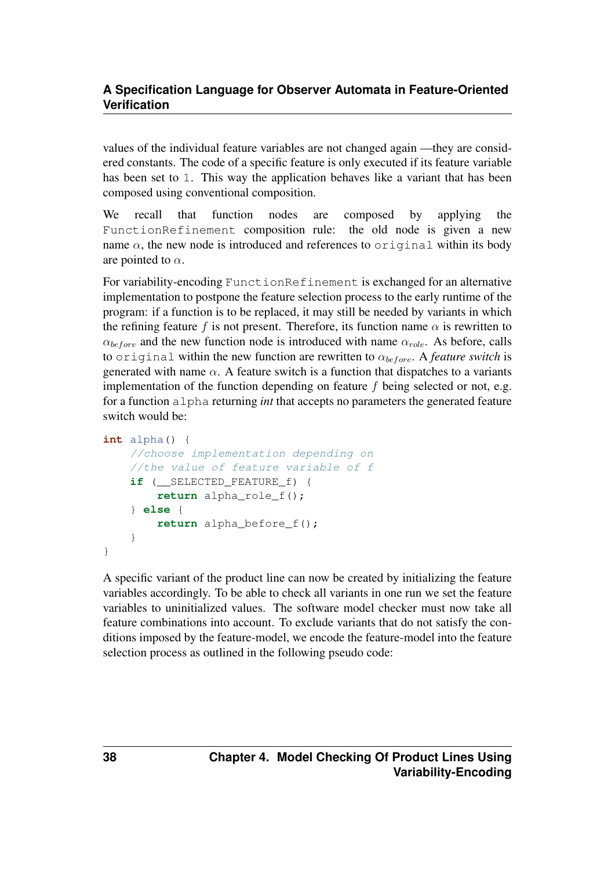values of the individual feature variables are not changed again —they are considered constants. The code of a specific feature is only executed if its feature variable has been set to 1. This way the application behaves like a variant that has been composed using conventional composition.

We recall that function nodes are composed by applying the FunctionRefinement composition rule: the old node is given a new name  $\alpha$ , the new node is introduced and references to original within its body are pointed to  $\alpha$ .

For variability-encoding FunctionRefinement is exchanged for an alternative implementation to postpone the feature selection process to the early runtime of the program: if a function is to be replaced, it may still be needed by variants in which the refining feature f is not present. Therefore, its function name  $\alpha$  is rewritten to  $\alpha_{before}$  and the new function node is introduced with name  $\alpha_{role}$ . As before, calls to original within the new function are rewritten to  $\alpha_{before}$ . A *feature switch* is generated with name  $\alpha$ . A feature switch is a function that dispatches to a variants implementation of the function depending on feature  $f$  being selected or not, e.g. for a function alpha returning *int* that accepts no parameters the generated feature switch would be:

```
int alpha() {
    //choose implementation depending on
    //the value of feature variable of f
    if (__SELECTED_FEATURE_f) {
        return alpha_role_f();
    } else {
        return alpha_before_f();
    }
}
```
A specific variant of the product line can now be created by initializing the feature variables accordingly. To be able to check all variants in one run we set the feature variables to uninitialized values. The software model checker must now take all feature combinations into account. To exclude variants that do not satisfy the conditions imposed by the feature-model, we encode the feature-model into the feature selection process as outlined in the following pseudo code: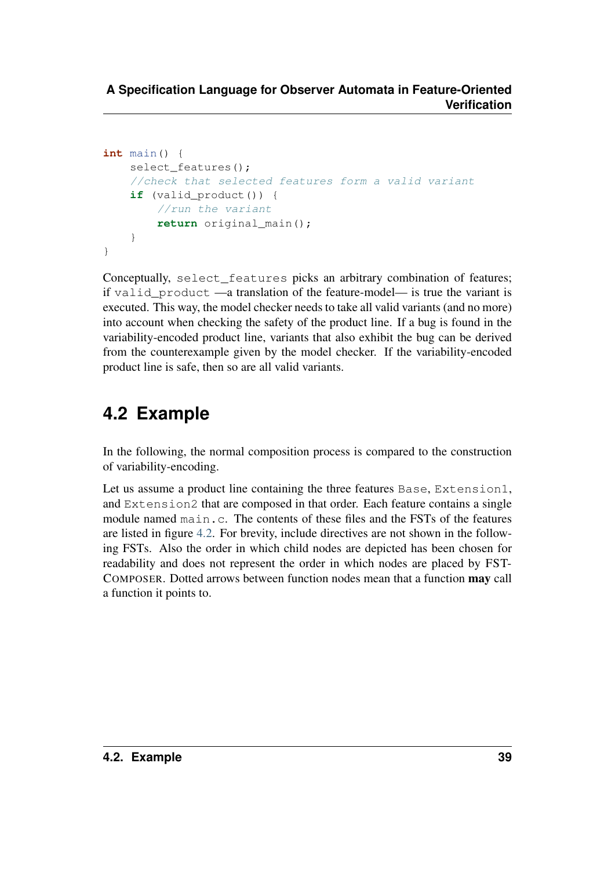```
int main() {
    select features();
    //check that selected features form a valid variant
    if (valid_product()) {
        //run the variant
        return original_main();
    }
}
```
Conceptually, select features picks an arbitrary combination of features; if valid product —a translation of the feature-model— is true the variant is executed. This way, the model checker needs to take all valid variants (and no more) into account when checking the safety of the product line. If a bug is found in the variability-encoded product line, variants that also exhibit the bug can be derived from the counterexample given by the model checker. If the variability-encoded product line is safe, then so are all valid variants.

# <span id="page-42-0"></span>**4.2 Example**

In the following, the normal composition process is compared to the construction of variability-encoding.

<span id="page-42-1"></span>Let us assume a product line containing the three features Base, Extension1, and Extension2 that are composed in that order. Each feature contains a single module named main.c. The contents of these files and the FSTs of the features are listed in figure [4.2.](#page-42-1) For brevity, include directives are not shown in the following FSTs. Also the order in which child nodes are depicted has been chosen for readability and does not represent the order in which nodes are placed by FST-COMPOSER. Dotted arrows between function nodes mean that a function may call a function it points to.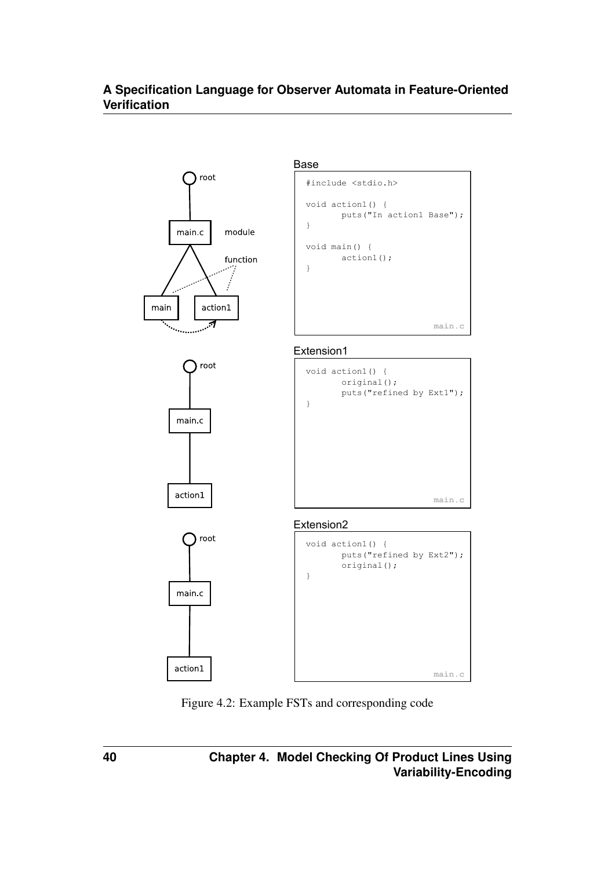

Figure 4.2: Example FSTs and corresponding code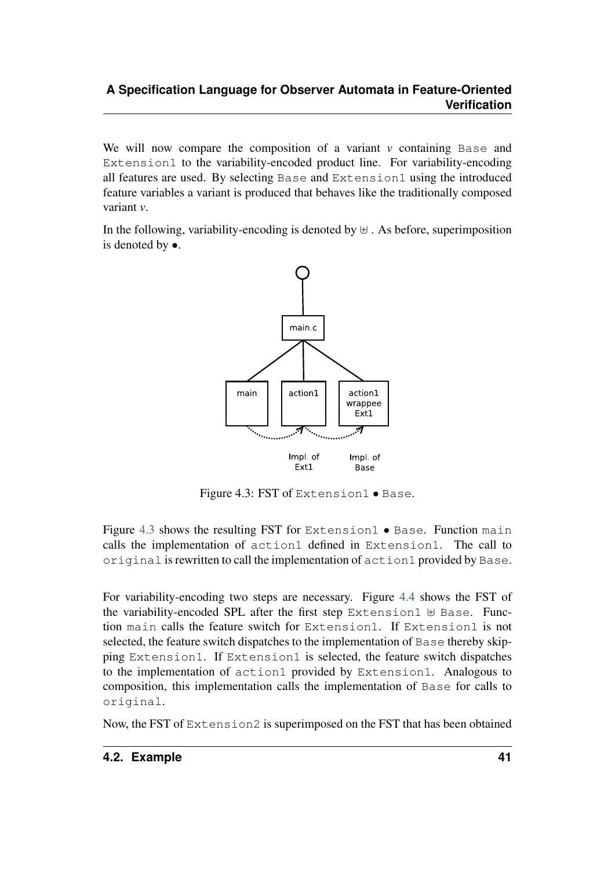We will now compare the composition of a variant  $\nu$  containing Base and Extension1 to the variability-encoded product line. For variability-encoding all features are used. By selecting Base and Extension1 using the introduced feature variables a variant is produced that behaves like the traditionally composed variant *v*.

In the following, variability-encoding is denoted by  $\forall$ . As before, superimposition is denoted by •.

<span id="page-44-0"></span>

Figure 4.3: FST of Extension1 • Base.

Figure [4.3](#page-44-0) shows the resulting FST for Extension1 • Base. Function main calls the implementation of action1 defined in Extension1. The call to original is rewritten to call the implementation of action1 provided by Base.

<span id="page-44-1"></span>For variability-encoding two steps are necessary. Figure [4.4](#page-44-1) shows the FST of the variability-encoded SPL after the first step Extension1  $\uplus$  Base. Function main calls the feature switch for Extension1. If Extension1 is not selected, the feature switch dispatches to the implementation of Base thereby skipping Extension1. If Extension1 is selected, the feature switch dispatches to the implementation of action1 provided by Extension1. Analogous to composition, this implementation calls the implementation of Base for calls to original.

<span id="page-44-2"></span>Now, the FST of Extension2 is superimposed on the FST that has been obtained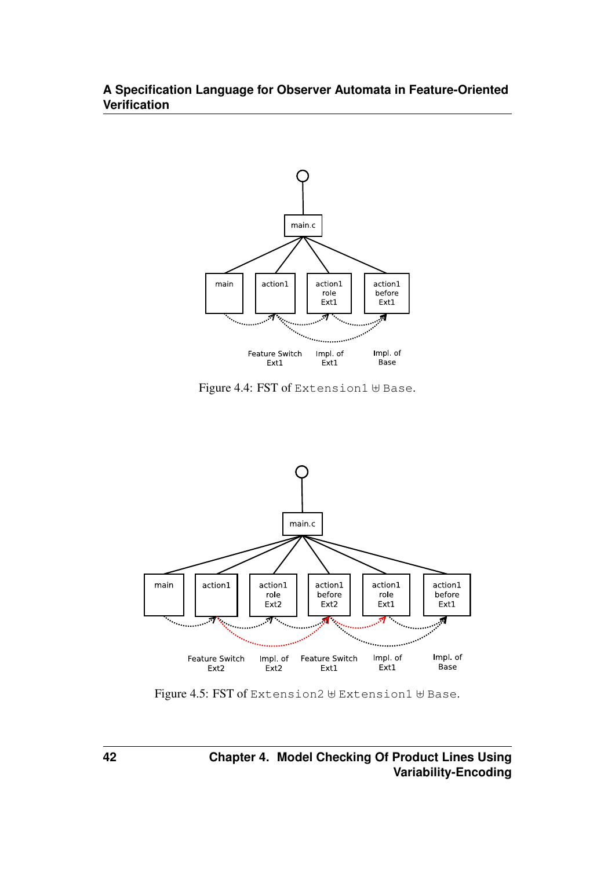

Figure 4.4: FST of Extension1  $\forall$  Base.



Figure 4.5: FST of Extension2  $\forall$  Extension1  $\forall$  Base.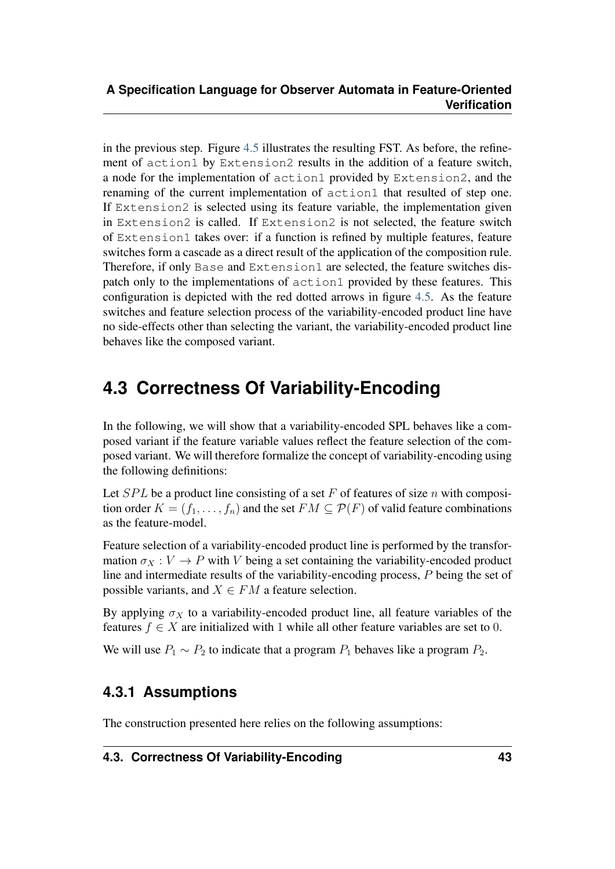in the previous step. Figure [4.5](#page-44-2) illustrates the resulting FST. As before, the refinement of action1 by Extension2 results in the addition of a feature switch, a node for the implementation of action1 provided by Extension2, and the renaming of the current implementation of  $action1$  that resulted of step one. If Extension2 is selected using its feature variable, the implementation given in Extension2 is called. If Extension2 is not selected, the feature switch of Extension1 takes over: if a function is refined by multiple features, feature switches form a cascade as a direct result of the application of the composition rule. Therefore, if only Base and Extension1 are selected, the feature switches dispatch only to the implementations of action1 provided by these features. This configuration is depicted with the red dotted arrows in figure [4.5.](#page-44-2) As the feature switches and feature selection process of the variability-encoded product line have no side-effects other than selecting the variant, the variability-encoded product line behaves like the composed variant.

# <span id="page-46-0"></span>**4.3 Correctness Of Variability-Encoding**

In the following, we will show that a variability-encoded SPL behaves like a composed variant if the feature variable values reflect the feature selection of the composed variant. We will therefore formalize the concept of variability-encoding using the following definitions:

Let  $SPL$  be a product line consisting of a set F of features of size n with composition order  $K = (f_1, \ldots, f_n)$  and the set  $FM \subseteq \mathcal{P}(F)$  of valid feature combinations as the feature-model.

Feature selection of a variability-encoded product line is performed by the transformation  $\sigma_X : V \to P$  with V being a set containing the variability-encoded product line and intermediate results of the variability-encoding process, P being the set of possible variants, and  $X \in FM$  a feature selection.

By applying  $\sigma_X$  to a variability-encoded product line, all feature variables of the features  $f \in X$  are initialized with 1 while all other feature variables are set to 0.

We will use  $P_1 \sim P_2$  to indicate that a program  $P_1$  behaves like a program  $P_2$ .

### <span id="page-46-1"></span>**4.3.1 Assumptions**

The construction presented here relies on the following assumptions: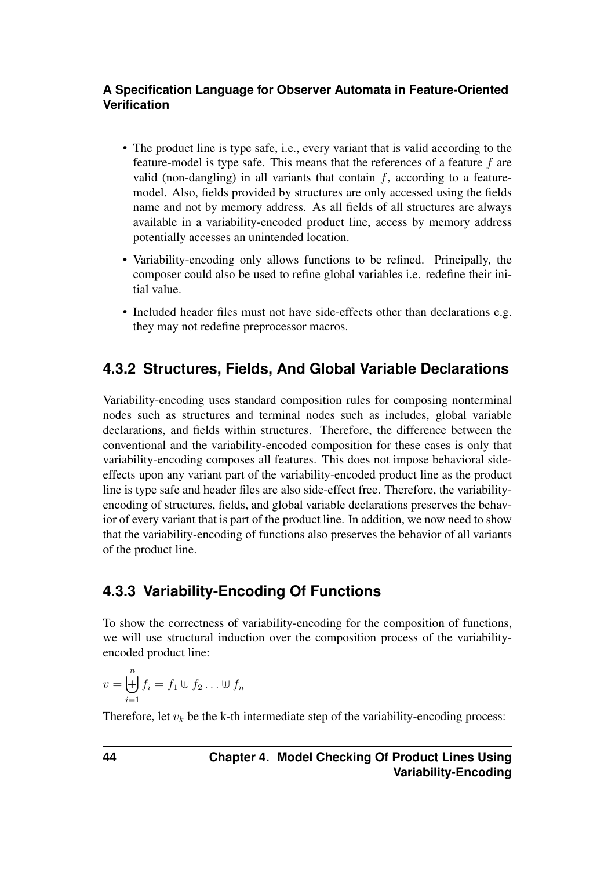- The product line is type safe, i.e., every variant that is valid according to the feature-model is type safe. This means that the references of a feature f are valid (non-dangling) in all variants that contain  $f$ , according to a featuremodel. Also, fields provided by structures are only accessed using the fields name and not by memory address. As all fields of all structures are always available in a variability-encoded product line, access by memory address potentially accesses an unintended location.
- Variability-encoding only allows functions to be refined. Principally, the composer could also be used to refine global variables i.e. redefine their initial value.
- Included header files must not have side-effects other than declarations e.g. they may not redefine preprocessor macros.

### <span id="page-47-0"></span>**4.3.2 Structures, Fields, And Global Variable Declarations**

Variability-encoding uses standard composition rules for composing nonterminal nodes such as structures and terminal nodes such as includes, global variable declarations, and fields within structures. Therefore, the difference between the conventional and the variability-encoded composition for these cases is only that variability-encoding composes all features. This does not impose behavioral sideeffects upon any variant part of the variability-encoded product line as the product line is type safe and header files are also side-effect free. Therefore, the variabilityencoding of structures, fields, and global variable declarations preserves the behavior of every variant that is part of the product line. In addition, we now need to show that the variability-encoding of functions also preserves the behavior of all variants of the product line.

### <span id="page-47-1"></span>**4.3.3 Variability-Encoding Of Functions**

To show the correctness of variability-encoding for the composition of functions, we will use structural induction over the composition process of the variabilityencoded product line:

$$
v = \biguplus_{i=1}^{n} f_i = f_1 \uplus f_2 \dots \uplus f_n
$$

Therefore, let  $v_k$  be the k-th intermediate step of the variability-encoding process: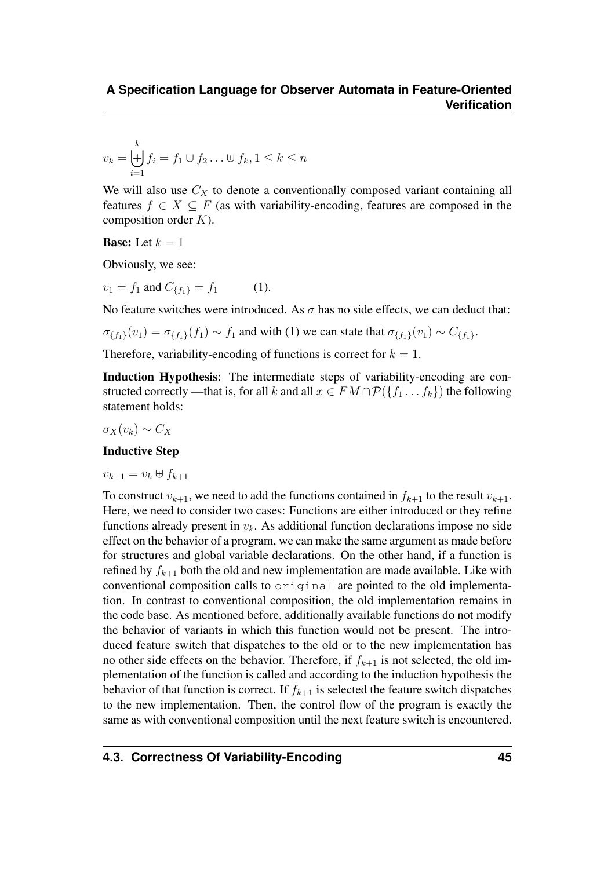$$
v_k = \biguplus_{i=1}^k f_i = f_1 \uplus f_2 \dots \uplus f_k, 1 \le k \le n
$$

We will also use  $C_X$  to denote a conventionally composed variant containing all features  $f \in X \subseteq F$  (as with variability-encoding, features are composed in the composition order  $K$ ).

**Base:** Let  $k = 1$ 

Obviously, we see:

 $v_1 = f_1$  and  $C_{\{f_1\}} = f_1$  (1).

No feature switches were introduced. As  $\sigma$  has no side effects, we can deduct that:

 $\sigma_{\{f_1\}}(v_1) = \sigma_{\{f_1\}}(f_1) \sim f_1$  and with (1) we can state that  $\sigma_{\{f_1\}}(v_1) \sim C_{\{f_1\}}$ .

Therefore, variability-encoding of functions is correct for  $k = 1$ .

Induction Hypothesis: The intermediate steps of variability-encoding are constructed correctly —that is, for all k and all  $x \in FM \cap \mathcal{P}(\lbrace f_1 \ldots f_k \rbrace)$  the following statement holds:

 $\sigma_X(v_k) \sim C_X$ 

#### Inductive Step

 $v_{k+1} = v_k \oplus f_{k+1}$ 

To construct  $v_{k+1}$ , we need to add the functions contained in  $f_{k+1}$  to the result  $v_{k+1}$ . Here, we need to consider two cases: Functions are either introduced or they refine functions already present in  $v_k$ . As additional function declarations impose no side effect on the behavior of a program, we can make the same argument as made before for structures and global variable declarations. On the other hand, if a function is refined by  $f_{k+1}$  both the old and new implementation are made available. Like with conventional composition calls to original are pointed to the old implementation. In contrast to conventional composition, the old implementation remains in the code base. As mentioned before, additionally available functions do not modify the behavior of variants in which this function would not be present. The introduced feature switch that dispatches to the old or to the new implementation has no other side effects on the behavior. Therefore, if  $f_{k+1}$  is not selected, the old implementation of the function is called and according to the induction hypothesis the behavior of that function is correct. If  $f_{k+1}$  is selected the feature switch dispatches to the new implementation. Then, the control flow of the program is exactly the same as with conventional composition until the next feature switch is encountered.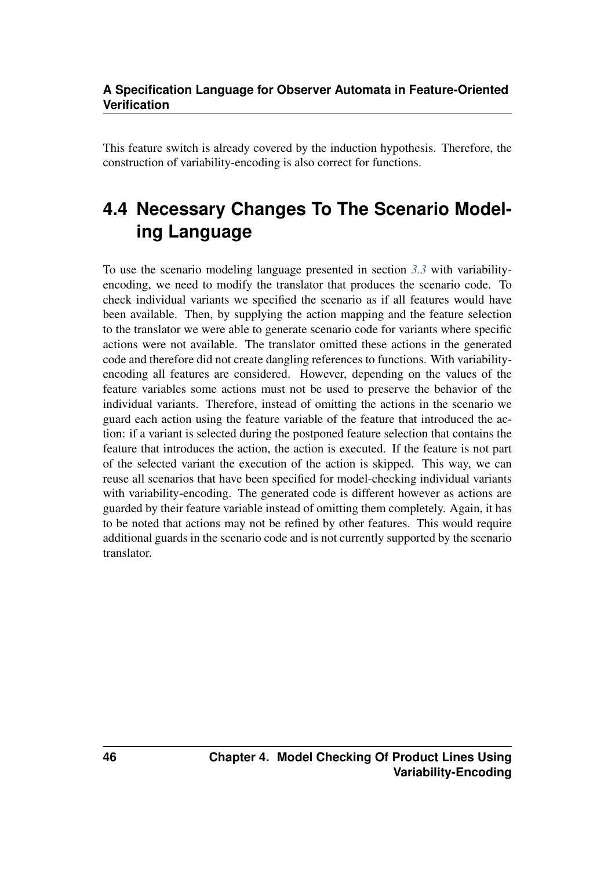This feature switch is already covered by the induction hypothesis. Therefore, the construction of variability-encoding is also correct for functions.

# <span id="page-49-0"></span>**4.4 Necessary Changes To The Scenario Modeling Language**

To use the scenario modeling language presented in section *[3.3](#page-32-0)* with variabilityencoding, we need to modify the translator that produces the scenario code. To check individual variants we specified the scenario as if all features would have been available. Then, by supplying the action mapping and the feature selection to the translator we were able to generate scenario code for variants where specific actions were not available. The translator omitted these actions in the generated code and therefore did not create dangling references to functions. With variabilityencoding all features are considered. However, depending on the values of the feature variables some actions must not be used to preserve the behavior of the individual variants. Therefore, instead of omitting the actions in the scenario we guard each action using the feature variable of the feature that introduced the action: if a variant is selected during the postponed feature selection that contains the feature that introduces the action, the action is executed. If the feature is not part of the selected variant the execution of the action is skipped. This way, we can reuse all scenarios that have been specified for model-checking individual variants with variability-encoding. The generated code is different however as actions are guarded by their feature variable instead of omitting them completely. Again, it has to be noted that actions may not be refined by other features. This would require additional guards in the scenario code and is not currently supported by the scenario translator.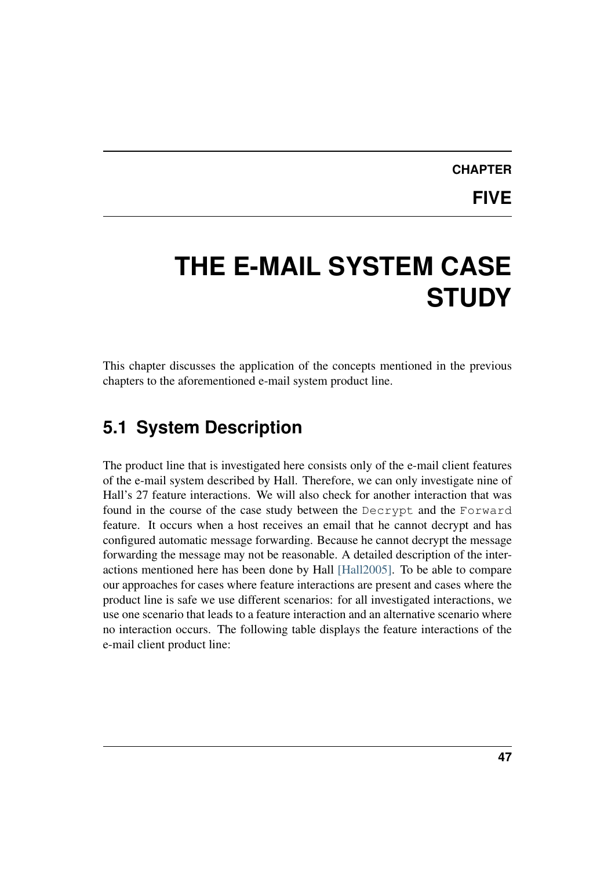# **CHAPTER**

**FIVE**

# <span id="page-50-0"></span>**THE E-MAIL SYSTEM CASE STUDY**

This chapter discusses the application of the concepts mentioned in the previous chapters to the aforementioned e-mail system product line.

## <span id="page-50-1"></span>**5.1 System Description**

The product line that is investigated here consists only of the e-mail client features of the e-mail system described by Hall. Therefore, we can only investigate nine of Hall's 27 feature interactions. We will also check for another interaction that was found in the course of the case study between the Decrypt and the Forward feature. It occurs when a host receives an email that he cannot decrypt and has configured automatic message forwarding. Because he cannot decrypt the message forwarding the message may not be reasonable. A detailed description of the interactions mentioned here has been done by Hall [\[Hall2005\].](#page-65-2) To be able to compare our approaches for cases where feature interactions are present and cases where the product line is safe we use different scenarios: for all investigated interactions, we use one scenario that leads to a feature interaction and an alternative scenario where no interaction occurs. The following table displays the feature interactions of the e-mail client product line: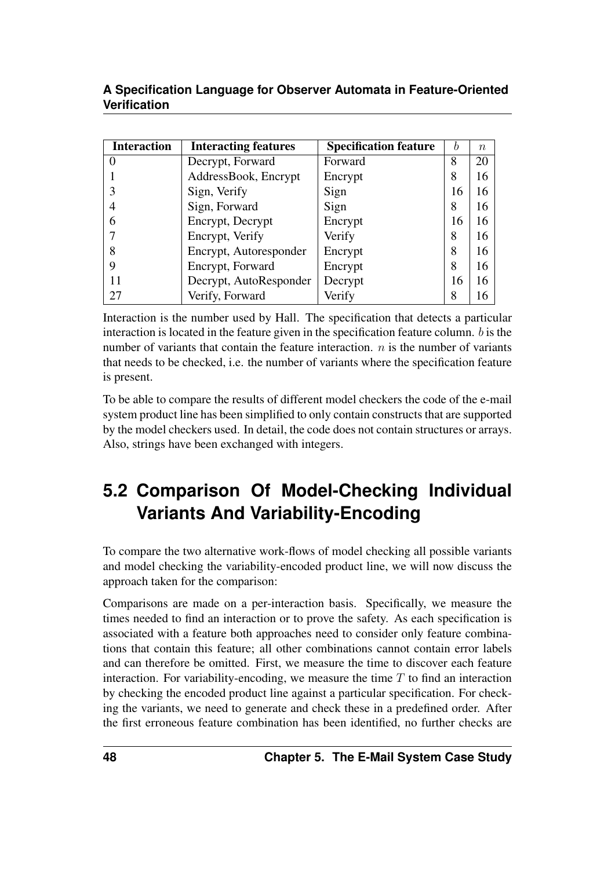| <b>Interaction</b> | <b>Interacting features</b> | <b>Specification feature</b> | b  | $\eta$ |
|--------------------|-----------------------------|------------------------------|----|--------|
| $\theta$           | Decrypt, Forward            | Forward                      | 8  | 20     |
|                    | AddressBook, Encrypt        | Encrypt                      | 8  | 16     |
|                    | Sign, Verify                | Sign                         | 16 | 16     |
|                    | Sign, Forward               | Sign                         | 8  | 16     |
| 6                  | Encrypt, Decrypt            | Encrypt                      | 16 | 16     |
|                    | Encrypt, Verify             | Verify                       | 8  | 16     |
| 8                  | Encrypt, Autoresponder      | Encrypt                      | 8  | 16     |
| 9                  | Encrypt, Forward            | Encrypt                      | 8  | 16     |
| 11                 | Decrypt, AutoResponder      | Decrypt                      | 16 | 16     |
| 27                 | Verify, Forward             | Verify                       | 8  | 16     |

Interaction is the number used by Hall. The specification that detects a particular interaction is located in the feature given in the specification feature column. b is the number of variants that contain the feature interaction.  $n$  is the number of variants that needs to be checked, i.e. the number of variants where the specification feature is present.

To be able to compare the results of different model checkers the code of the e-mail system product line has been simplified to only contain constructs that are supported by the model checkers used. In detail, the code does not contain structures or arrays. Also, strings have been exchanged with integers.

# <span id="page-51-0"></span>**5.2 Comparison Of Model-Checking Individual Variants And Variability-Encoding**

To compare the two alternative work-flows of model checking all possible variants and model checking the variability-encoded product line, we will now discuss the approach taken for the comparison:

Comparisons are made on a per-interaction basis. Specifically, we measure the times needed to find an interaction or to prove the safety. As each specification is associated with a feature both approaches need to consider only feature combinations that contain this feature; all other combinations cannot contain error labels and can therefore be omitted. First, we measure the time to discover each feature interaction. For variability-encoding, we measure the time  $T$  to find an interaction by checking the encoded product line against a particular specification. For checking the variants, we need to generate and check these in a predefined order. After the first erroneous feature combination has been identified, no further checks are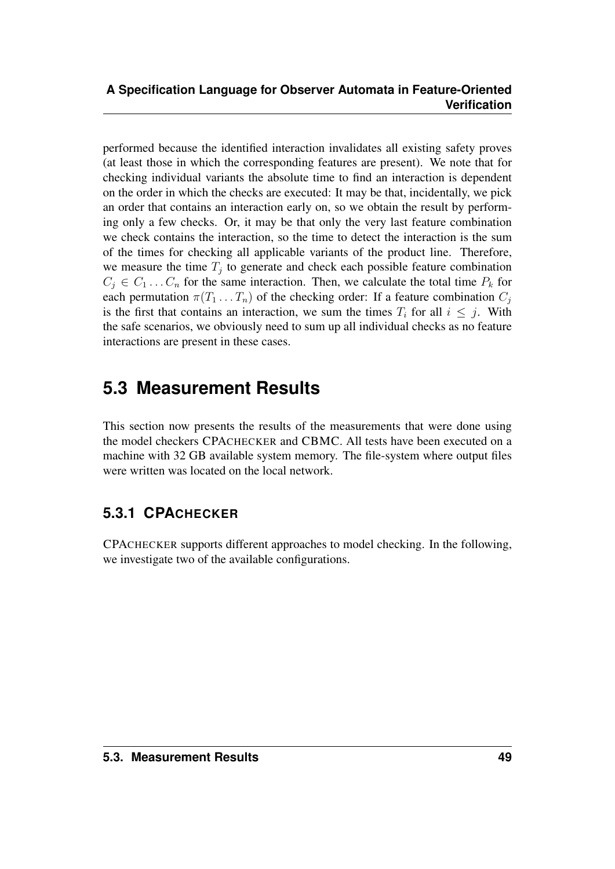performed because the identified interaction invalidates all existing safety proves (at least those in which the corresponding features are present). We note that for checking individual variants the absolute time to find an interaction is dependent on the order in which the checks are executed: It may be that, incidentally, we pick an order that contains an interaction early on, so we obtain the result by performing only a few checks. Or, it may be that only the very last feature combination we check contains the interaction, so the time to detect the interaction is the sum of the times for checking all applicable variants of the product line. Therefore, we measure the time  $T_j$  to generate and check each possible feature combination  $C_j \in C_1 \dots C_n$  for the same interaction. Then, we calculate the total time  $P_k$  for each permutation  $\pi(T_1 \dots T_n)$  of the checking order: If a feature combination  $C_j$ is the first that contains an interaction, we sum the times  $T_i$  for all  $i \leq j$ . With the safe scenarios, we obviously need to sum up all individual checks as no feature interactions are present in these cases.

# <span id="page-52-0"></span>**5.3 Measurement Results**

This section now presents the results of the measurements that were done using the model checkers CPACHECKER and CBMC. All tests have been executed on a machine with 32 GB available system memory. The file-system where output files were written was located on the local network.

### <span id="page-52-1"></span>**5.3.1 CPACHECKER**

CPACHECKER supports different approaches to model checking. In the following, we investigate two of the available configurations.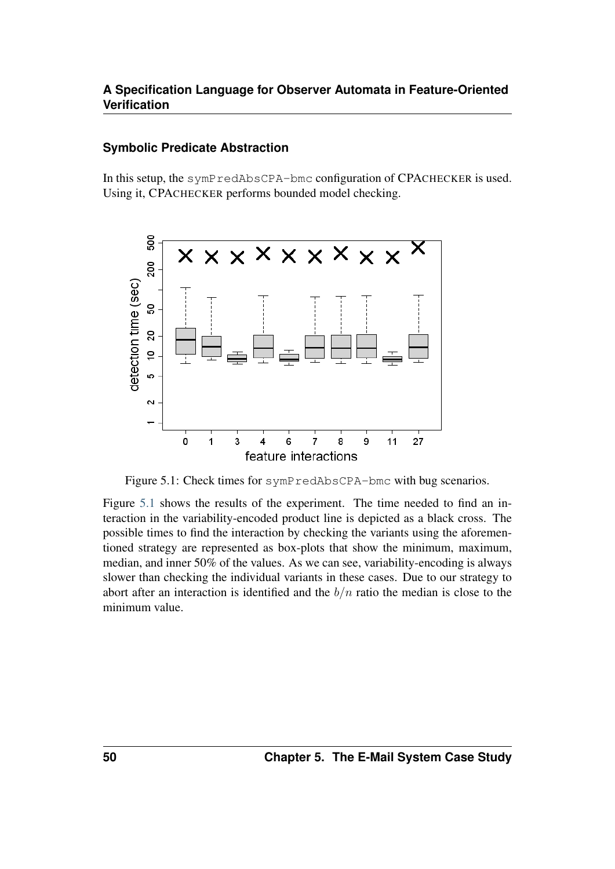#### **Symbolic Predicate Abstraction**

In this setup, the symPredAbsCPA-bmc configuration of CPACHECKER is used. Using it, CPACHECKER performs bounded model checking.

<span id="page-53-0"></span>

Figure 5.1: Check times for symPredAbsCPA-bmc with bug scenarios.

Figure [5.1](#page-53-0) shows the results of the experiment. The time needed to find an interaction in the variability-encoded product line is depicted as a black cross. The possible times to find the interaction by checking the variants using the aforementioned strategy are represented as box-plots that show the minimum, maximum, median, and inner 50% of the values. As we can see, variability-encoding is always slower than checking the individual variants in these cases. Due to our strategy to abort after an interaction is identified and the  $b/n$  ratio the median is close to the minimum value.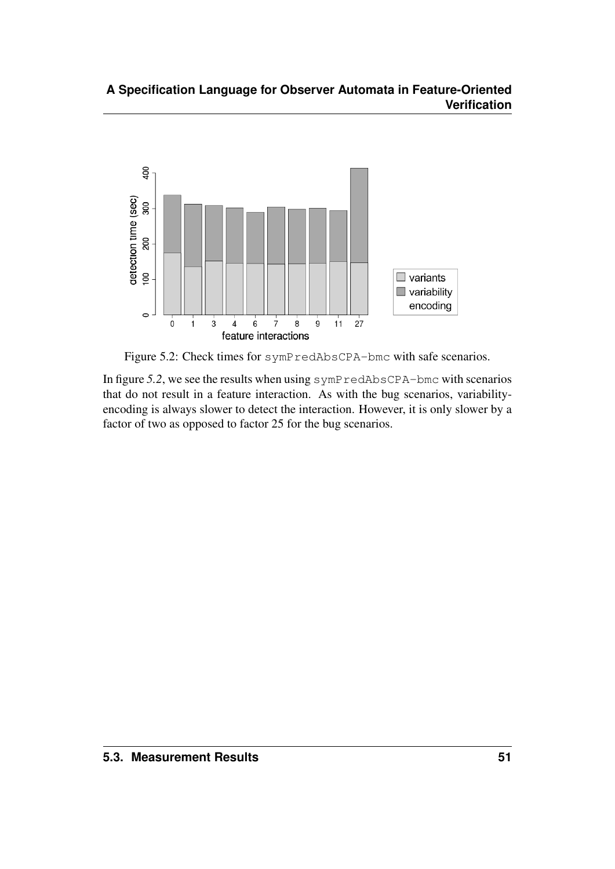

Figure 5.2: Check times for symPredAbsCPA-bmc with safe scenarios.

In figure 5.2, we see the results when using symPredAbsCPA-bmc with scenarios that do not result in a feature interaction. As with the bug scenarios, variabilityencoding is always slower to detect the interaction. However, it is only slower by a factor of two as opposed to factor 25 for the bug scenarios.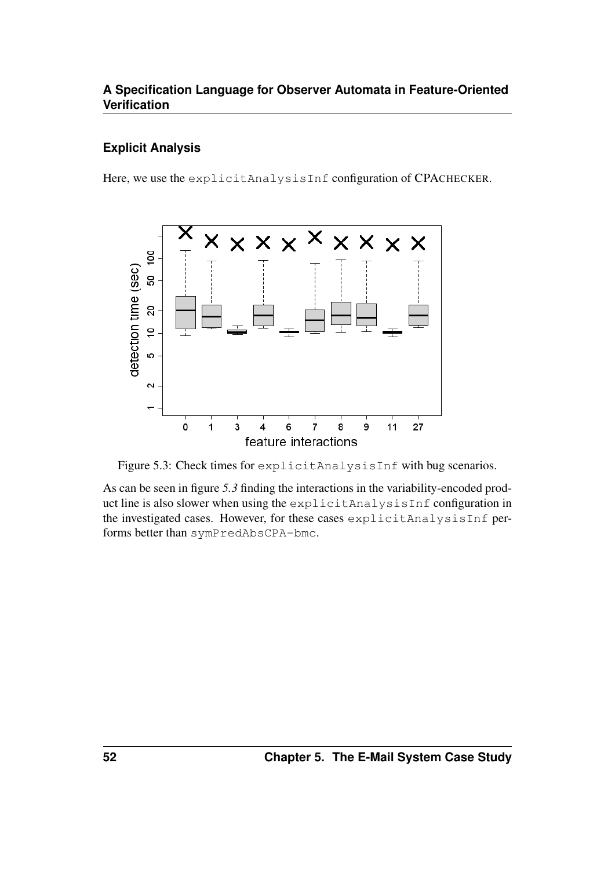#### **Explicit Analysis**

Here, we use the explicitAnalysisInf configuration of CPACHECKER.



Figure 5.3: Check times for explicitAnalysisInf with bug scenarios.

As can be seen in figure *5.3* finding the interactions in the variability-encoded product line is also slower when using the explicitAnalysisInf configuration in the investigated cases. However, for these cases explicitAnalysisInf performs better than symPredAbsCPA-bmc.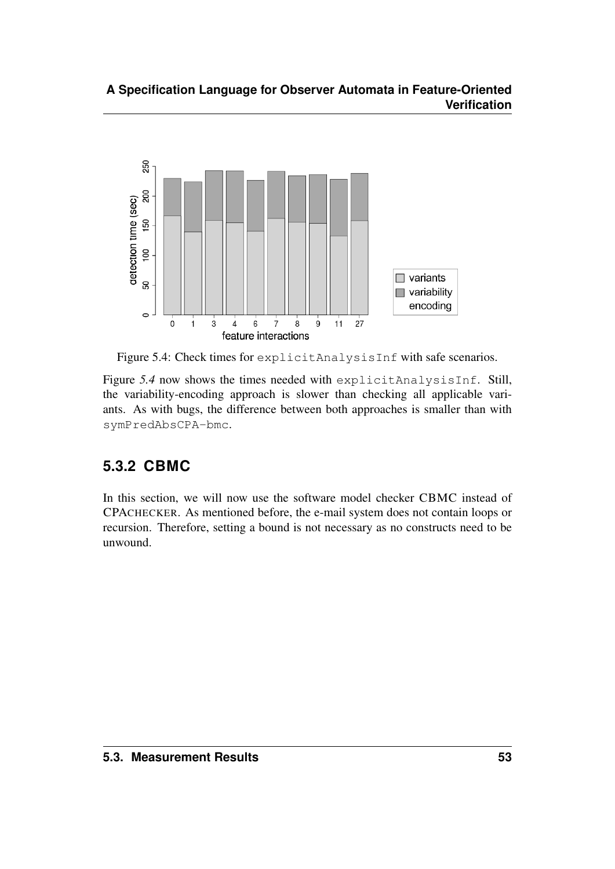

Figure 5.4: Check times for explicitAnalysisInf with safe scenarios.

Figure *5.4* now shows the times needed with explicitAnalysisInf. Still, the variability-encoding approach is slower than checking all applicable variants. As with bugs, the difference between both approaches is smaller than with symPredAbsCPA-bmc.

## <span id="page-56-0"></span>**5.3.2 CBMC**

<span id="page-56-1"></span>In this section, we will now use the software model checker CBMC instead of CPACHECKER. As mentioned before, the e-mail system does not contain loops or recursion. Therefore, setting a bound is not necessary as no constructs need to be unwound.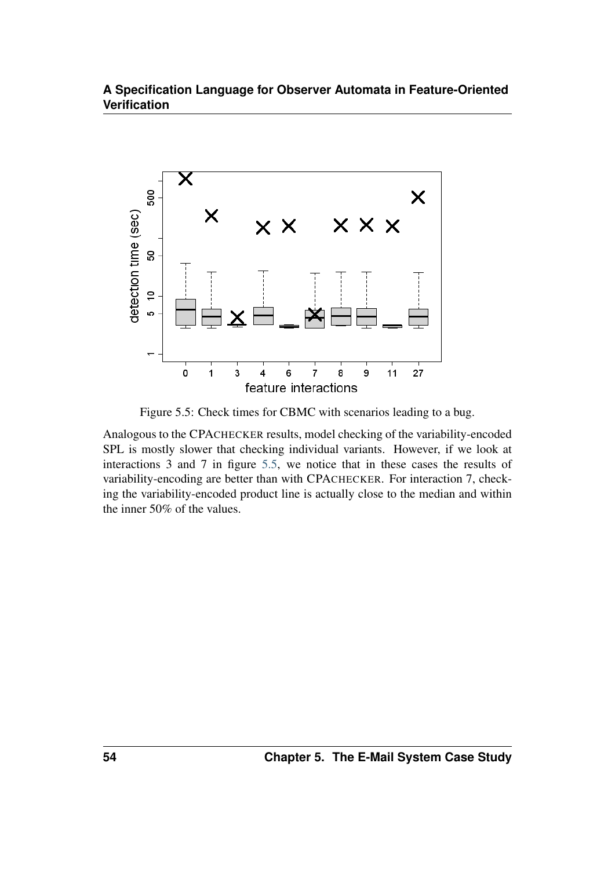

<span id="page-57-0"></span>Figure 5.5: Check times for CBMC with scenarios leading to a bug.

Analogous to the CPACHECKER results, model checking of the variability-encoded SPL is mostly slower that checking individual variants. However, if we look at interactions 3 and 7 in figure [5.5,](#page-56-1) we notice that in these cases the results of variability-encoding are better than with CPACHECKER. For interaction 7, checking the variability-encoded product line is actually close to the median and within the inner 50% of the values.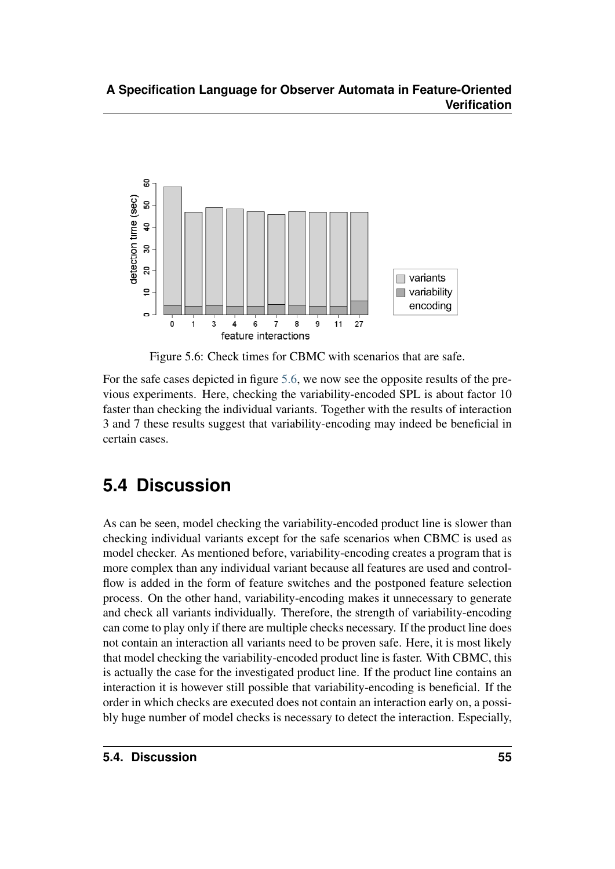

Figure 5.6: Check times for CBMC with scenarios that are safe.

For the safe cases depicted in figure [5.6,](#page-57-0) we now see the opposite results of the previous experiments. Here, checking the variability-encoded SPL is about factor 10 faster than checking the individual variants. Together with the results of interaction 3 and 7 these results suggest that variability-encoding may indeed be beneficial in certain cases.

# <span id="page-58-0"></span>**5.4 Discussion**

As can be seen, model checking the variability-encoded product line is slower than checking individual variants except for the safe scenarios when CBMC is used as model checker. As mentioned before, variability-encoding creates a program that is more complex than any individual variant because all features are used and controlflow is added in the form of feature switches and the postponed feature selection process. On the other hand, variability-encoding makes it unnecessary to generate and check all variants individually. Therefore, the strength of variability-encoding can come to play only if there are multiple checks necessary. If the product line does not contain an interaction all variants need to be proven safe. Here, it is most likely that model checking the variability-encoded product line is faster. With CBMC, this is actually the case for the investigated product line. If the product line contains an interaction it is however still possible that variability-encoding is beneficial. If the order in which checks are executed does not contain an interaction early on, a possibly huge number of model checks is necessary to detect the interaction. Especially,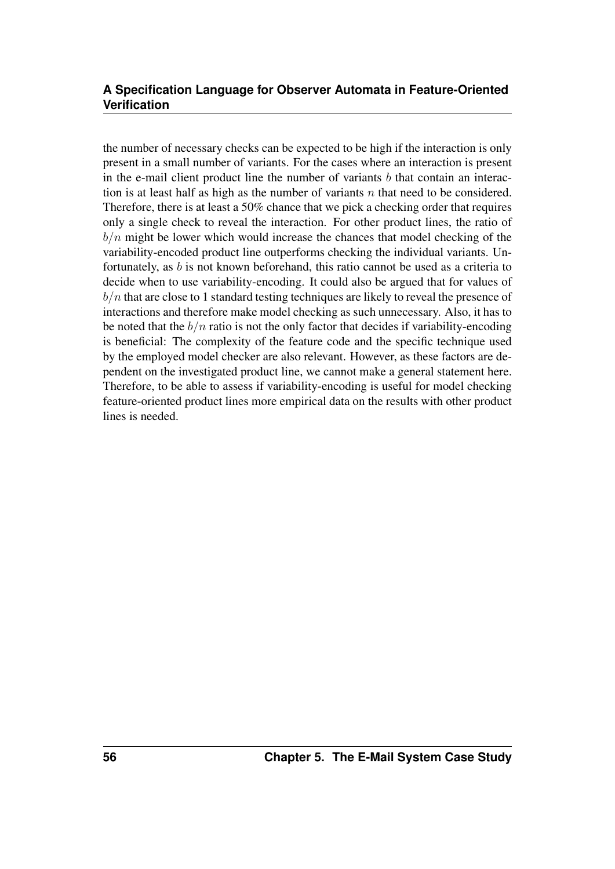the number of necessary checks can be expected to be high if the interaction is only present in a small number of variants. For the cases where an interaction is present in the e-mail client product line the number of variants  $b$  that contain an interaction is at least half as high as the number of variants  $n$  that need to be considered. Therefore, there is at least a 50% chance that we pick a checking order that requires only a single check to reveal the interaction. For other product lines, the ratio of  $b/n$  might be lower which would increase the chances that model checking of the variability-encoded product line outperforms checking the individual variants. Unfortunately, as  $b$  is not known beforehand, this ratio cannot be used as a criteria to decide when to use variability-encoding. It could also be argued that for values of  $b/n$  that are close to 1 standard testing techniques are likely to reveal the presence of interactions and therefore make model checking as such unnecessary. Also, it has to be noted that the  $b/n$  ratio is not the only factor that decides if variability-encoding is beneficial: The complexity of the feature code and the specific technique used by the employed model checker are also relevant. However, as these factors are dependent on the investigated product line, we cannot make a general statement here. Therefore, to be able to assess if variability-encoding is useful for model checking feature-oriented product lines more empirical data on the results with other product lines is needed.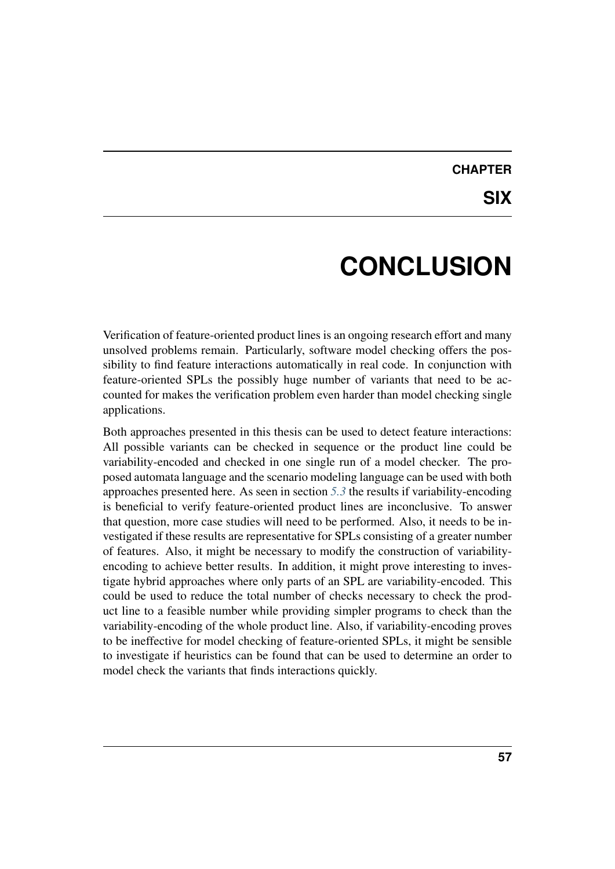## **CHAPTER SIX**

# **CONCLUSION**

<span id="page-60-0"></span>Verification of feature-oriented product lines is an ongoing research effort and many unsolved problems remain. Particularly, software model checking offers the possibility to find feature interactions automatically in real code. In conjunction with feature-oriented SPLs the possibly huge number of variants that need to be accounted for makes the verification problem even harder than model checking single applications.

Both approaches presented in this thesis can be used to detect feature interactions: All possible variants can be checked in sequence or the product line could be variability-encoded and checked in one single run of a model checker. The proposed automata language and the scenario modeling language can be used with both approaches presented here. As seen in section *[5.3](#page-52-0)* the results if variability-encoding is beneficial to verify feature-oriented product lines are inconclusive. To answer that question, more case studies will need to be performed. Also, it needs to be investigated if these results are representative for SPLs consisting of a greater number of features. Also, it might be necessary to modify the construction of variabilityencoding to achieve better results. In addition, it might prove interesting to investigate hybrid approaches where only parts of an SPL are variability-encoded. This could be used to reduce the total number of checks necessary to check the product line to a feasible number while providing simpler programs to check than the variability-encoding of the whole product line. Also, if variability-encoding proves to be ineffective for model checking of feature-oriented SPLs, it might be sensible to investigate if heuristics can be found that can be used to determine an order to model check the variants that finds interactions quickly.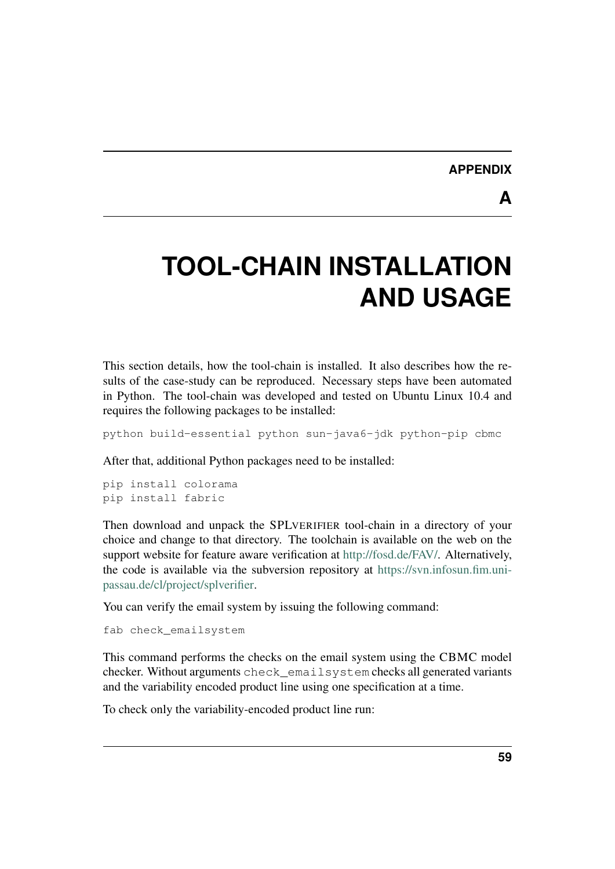#### **APPENDIX**

**A**

# <span id="page-62-0"></span>**TOOL-CHAIN INSTALLATION AND USAGE**

This section details, how the tool-chain is installed. It also describes how the results of the case-study can be reproduced. Necessary steps have been automated in Python. The tool-chain was developed and tested on Ubuntu Linux 10.4 and requires the following packages to be installed:

python build-essential python sun-java6-jdk python-pip cbmc

After that, additional Python packages need to be installed:

```
pip install colorama
pip install fabric
```
Then download and unpack the SPLVERIFIER tool-chain in a directory of your choice and change to that directory. The toolchain is available on the web on the support website for feature aware verification at [http://fosd.de/FAV/.](http://fosd.de/FAV/) Alternatively, the code is available via the subversion repository at [https://svn.infosun.fim.uni](https://svn.infosun.fim.uni-passau.de/cl/project/splverifier)[passau.de/cl/project/splverifier.](https://svn.infosun.fim.uni-passau.de/cl/project/splverifier)

You can verify the email system by issuing the following command:

```
fab check_emailsystem
```
This command performs the checks on the email system using the CBMC model checker. Without arguments check emailsystem checks all generated variants and the variability encoded product line using one specification at a time.

To check only the variability-encoded product line run: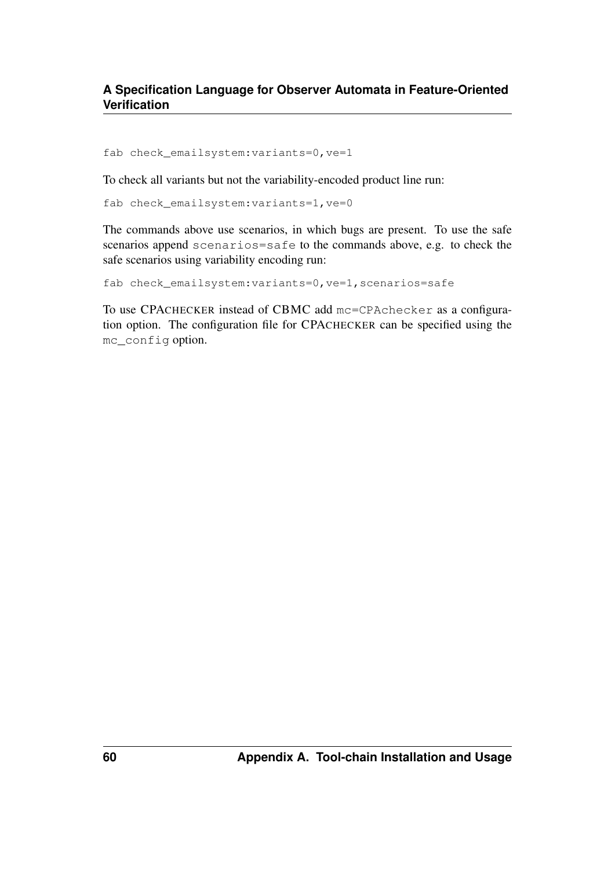fab check\_emailsystem:variants=0,ve=1

To check all variants but not the variability-encoded product line run:

fab check\_emailsystem:variants=1,ve=0

The commands above use scenarios, in which bugs are present. To use the safe scenarios append scenarios=safe to the commands above, e.g. to check the safe scenarios using variability encoding run:

fab check\_emailsystem:variants=0,ve=1,scenarios=safe

To use CPACHECKER instead of CBMC add mc=CPAchecker as a configuration option. The configuration file for CPACHECKER can be specified using the mc\_config option.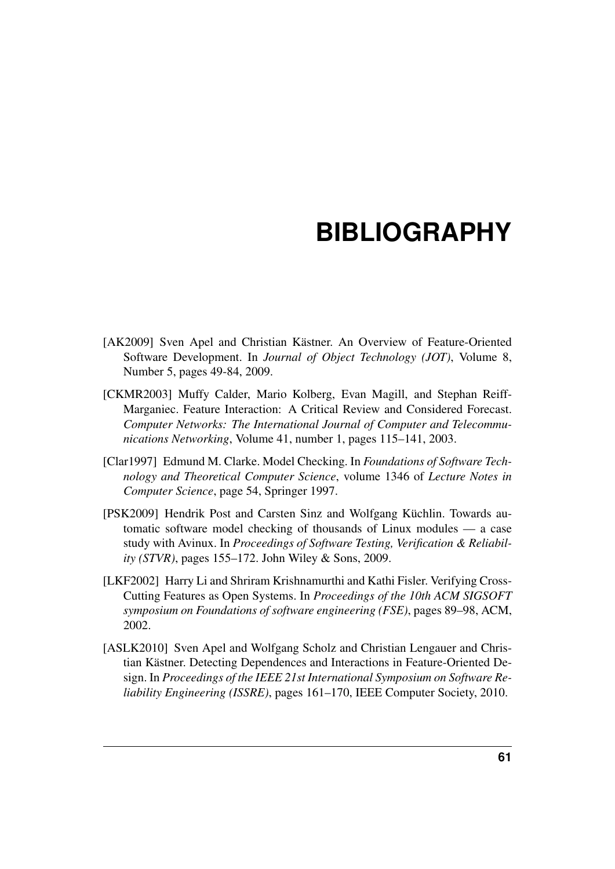# **BIBLIOGRAPHY**

- <span id="page-64-0"></span>[AK2009] Sven Apel and Christian Kästner. An Overview of Feature-Oriented Software Development. In *Journal of Object Technology (JOT)*, Volume 8, Number 5, pages 49-84, 2009.
- <span id="page-64-1"></span>[CKMR2003] Muffy Calder, Mario Kolberg, Evan Magill, and Stephan Reiff-Marganiec. Feature Interaction: A Critical Review and Considered Forecast. *Computer Networks: The International Journal of Computer and Telecommunications Networking*, Volume 41, number 1, pages 115–141, 2003.
- <span id="page-64-2"></span>[Clar1997] Edmund M. Clarke. Model Checking. In *Foundations of Software Technology and Theoretical Computer Science*, volume 1346 of *Lecture Notes in Computer Science*, page 54, Springer 1997.
- <span id="page-64-3"></span>[PSK2009] Hendrik Post and Carsten Sinz and Wolfgang Küchlin. Towards automatic software model checking of thousands of Linux modules — a case study with Avinux. In *Proceedings of Software Testing, Verification & Reliability (STVR)*, pages 155–172. John Wiley & Sons, 2009.
- <span id="page-64-4"></span>[LKF2002] Harry Li and Shriram Krishnamurthi and Kathi Fisler. Verifying Cross-Cutting Features as Open Systems. In *Proceedings of the 10th ACM SIGSOFT symposium on Foundations of software engineering (FSE)*, pages 89–98, ACM, 2002.
- <span id="page-64-6"></span><span id="page-64-5"></span>[ASLK2010] Sven Apel and Wolfgang Scholz and Christian Lengauer and Christian Kästner. Detecting Dependences and Interactions in Feature-Oriented Design. In *Proceedings of the IEEE 21st International Symposium on Software Reliability Engineering (ISSRE)*, pages 161–170, IEEE Computer Society, 2010.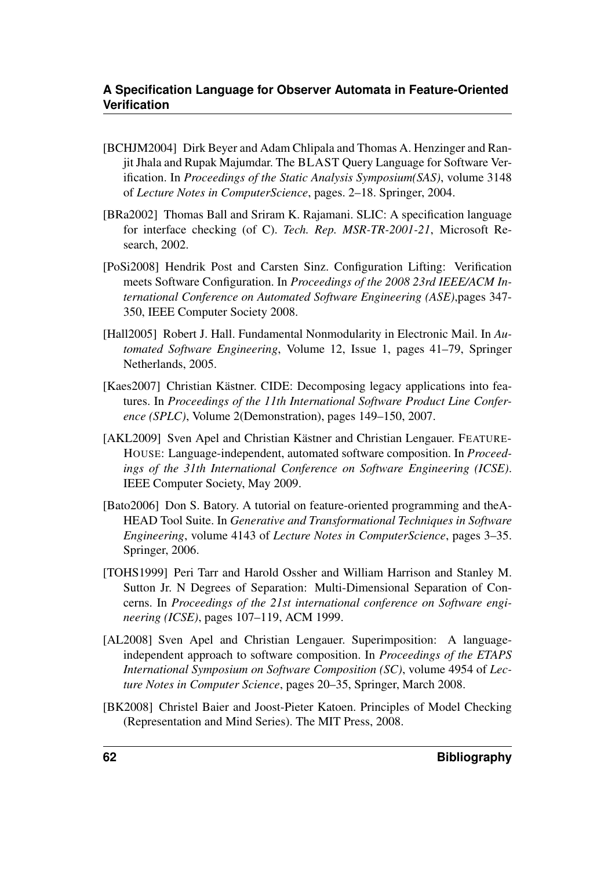- [BCHJM2004] Dirk Beyer and Adam Chlipala and Thomas A. Henzinger and Ranjit Jhala and Rupak Majumdar. The BLAST Query Language for Software Verification. In *Proceedings of the Static Analysis Symposium(SAS)*, volume 3148 of *Lecture Notes in ComputerScience*, pages. 2–18. Springer, 2004.
- <span id="page-65-0"></span>[BRa2002] Thomas Ball and Sriram K. Rajamani. SLIC: A specification language for interface checking (of C). *Tech. Rep. MSR-TR-2001-21*, Microsoft Research, 2002.
- <span id="page-65-1"></span>[PoSi2008] Hendrik Post and Carsten Sinz. Configuration Lifting: Verification meets Software Configuration. In *Proceedings of the 2008 23rd IEEE/ACM International Conference on Automated Software Engineering (ASE)*,pages 347- 350, IEEE Computer Society 2008.
- <span id="page-65-2"></span>[Hall2005] Robert J. Hall. Fundamental Nonmodularity in Electronic Mail. In Au*tomated Software Engineering*, Volume 12, Issue 1, pages 41–79, Springer Netherlands, 2005.
- <span id="page-65-3"></span>[Kaes2007] Christian Kästner. CIDE: Decomposing legacy applications into features. In *Proceedings of the 11th International Software Product Line Conference (SPLC)*, Volume 2(Demonstration), pages 149–150, 2007.
- <span id="page-65-4"></span>[AKL2009] Sven Apel and Christian Kästner and Christian Lengauer. FEATURE-HOUSE: Language-independent, automated software composition. In *Proceedings of the 31th International Conference on Software Engineering (ICSE)*. IEEE Computer Society, May 2009.
- <span id="page-65-5"></span>[Bato2006] Don S. Batory. A tutorial on feature-oriented programming and theA-HEAD Tool Suite. In *Generative and Transformational Techniques in Software Engineering*, volume 4143 of *Lecture Notes in ComputerScience*, pages 3–35. Springer, 2006.
- <span id="page-65-6"></span>[TOHS1999] Peri Tarr and Harold Ossher and William Harrison and Stanley M. Sutton Jr. N Degrees of Separation: Multi-Dimensional Separation of Concerns. In *Proceedings of the 21st international conference on Software engineering (ICSE)*, pages 107–119, ACM 1999.
- <span id="page-65-7"></span>[AL2008] Sven Apel and Christian Lengauer. Superimposition: A languageindependent approach to software composition. In *Proceedings of the ETAPS International Symposium on Software Composition (SC)*, volume 4954 of *Lecture Notes in Computer Science*, pages 20–35, Springer, March 2008.
- <span id="page-65-8"></span>[BK2008] Christel Baier and Joost-Pieter Katoen. Principles of Model Checking (Representation and Mind Series). The MIT Press, 2008.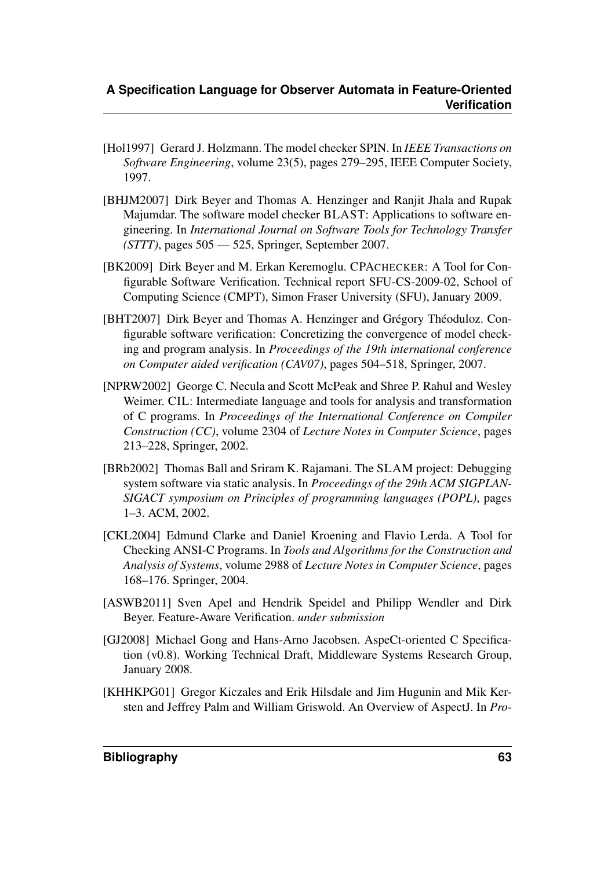- <span id="page-66-0"></span>[Hol1997] Gerard J. Holzmann. The model checker SPIN. In *IEEE Transactions on Software Engineering*, volume 23(5), pages 279–295, IEEE Computer Society, 1997.
- <span id="page-66-1"></span>[BHJM2007] Dirk Beyer and Thomas A. Henzinger and Ranjit Jhala and Rupak Majumdar. The software model checker BLAST: Applications to software engineering. In *International Journal on Software Tools for Technology Transfer (STTT)*, pages 505 — 525, Springer, September 2007.
- <span id="page-66-2"></span>[BK2009] Dirk Beyer and M. Erkan Keremoglu. CPACHECKER: A Tool for Configurable Software Verification. Technical report SFU-CS-2009-02, School of Computing Science (CMPT), Simon Fraser University (SFU), January 2009.
- <span id="page-66-3"></span>[BHT2007] Dirk Beyer and Thomas A. Henzinger and Grégory Théoduloz. Configurable software verification: Concretizing the convergence of model checking and program analysis. In *Proceedings of the 19th international conference on Computer aided verification (CAV07)*, pages 504–518, Springer, 2007.
- <span id="page-66-4"></span>[NPRW2002] George C. Necula and Scott McPeak and Shree P. Rahul and Wesley Weimer. CIL: Intermediate language and tools for analysis and transformation of C programs. In *Proceedings of the International Conference on Compiler Construction (CC)*, volume 2304 of *Lecture Notes in Computer Science*, pages 213–228, Springer, 2002.
- <span id="page-66-6"></span>[BRb2002] Thomas Ball and Sriram K. Rajamani. The SLAM project: Debugging system software via static analysis. In *Proceedings of the 29th ACM SIGPLAN-SIGACT symposium on Principles of programming languages (POPL)*, pages 1–3. ACM, 2002.
- <span id="page-66-5"></span>[CKL2004] Edmund Clarke and Daniel Kroening and Flavio Lerda. A Tool for Checking ANSI-C Programs. In *Tools and Algorithms for the Construction and Analysis of Systems*, volume 2988 of *Lecture Notes in Computer Science*, pages 168–176. Springer, 2004.
- <span id="page-66-9"></span>[ASWB2011] Sven Apel and Hendrik Speidel and Philipp Wendler and Dirk Beyer. Feature-Aware Verification. *under submission*
- <span id="page-66-7"></span>[GJ2008] Michael Gong and Hans-Arno Jacobsen. AspeCt-oriented C Specification (v0.8). Working Technical Draft, Middleware Systems Research Group, January 2008.
- <span id="page-66-8"></span>[KHHKPG01] Gregor Kiczales and Erik Hilsdale and Jim Hugunin and Mik Kersten and Jeffrey Palm and William Griswold. An Overview of AspectJ. In *Pro-*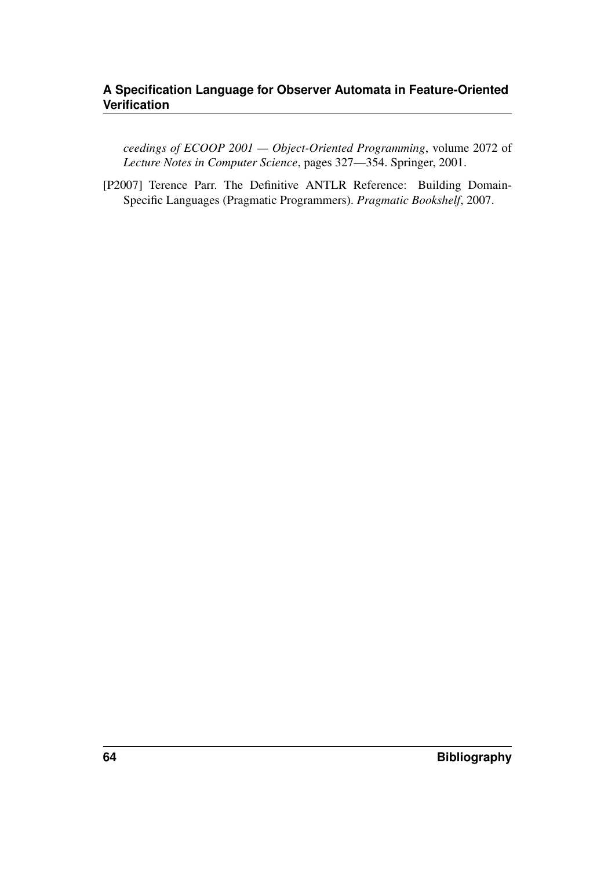*ceedings of ECOOP 2001 — Object-Oriented Programming*, volume 2072 of *Lecture Notes in Computer Science*, pages 327—354. Springer, 2001.

<span id="page-67-0"></span>[P2007] Terence Parr. The Definitive ANTLR Reference: Building Domain-Specific Languages (Pragmatic Programmers). *Pragmatic Bookshelf*, 2007.